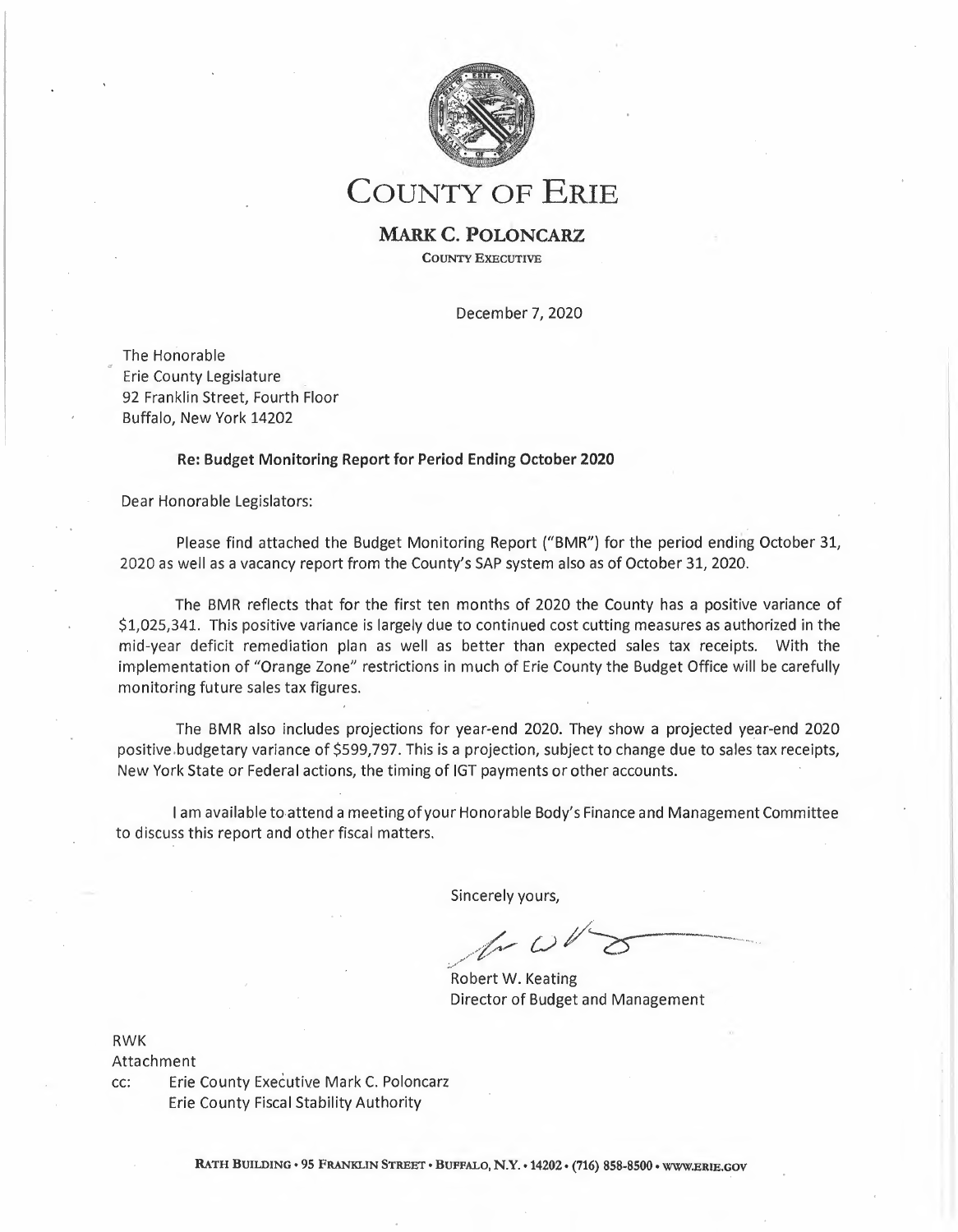

**COUNTY OF ERIE** 

## **MARK C. POLONCARZ COUNTY EXECUTIVE**

December 7, 2020

The Honorable Erie County Legislature 92 Franklin Street, Fourth Floor Buffalo, New York 14202

### **Re: Budget Monitoring Report for Period Ending October 2020**

Dear Honorable Legislators:

Please find attached the Budget Monitoring Report ("BMR") for the period ending October 31, 2020 as well as a vacancy report from the County's SAP system also as of October 31, 2020.

The BMR reflects that for the first ten months of 2020 the County has a positive variance of \$1,025,341. This positive variance is largely due to continued cost cutting measures as authorized in the mid-year deficit remediation plan as well as better than expected sales tax receipts. With the implementation of "Orange Zone" restrictions in much of Erie County the Budget Office will be carefully monitoring future sales tax figures.

The BMR also includes projections for year-end 2020. They show a projected year-end 2020 positive.budgetary variance of \$599,797. This is a projection, subject to change due to sales tax receipts, New York State or Federal actions, the timing of IGT payments or other accounts.

I am available to attend a meeting of your Honorable Body's Finance and Management Committee to discuss this report and other fiscal matters.

Sincerely yours,

Robert W. Keating Director of Budget and Management

**RWK** 

Attachment

cc: Erie County Executive Mark C. Poloncarz Erie County Fiscal Stability Authority

RATH BUILDING• 95 FRANKLIN STREET• BUFFALO, **N.Y. •** 14202 • (716) 858-8500 • WWW.ERIE.GOV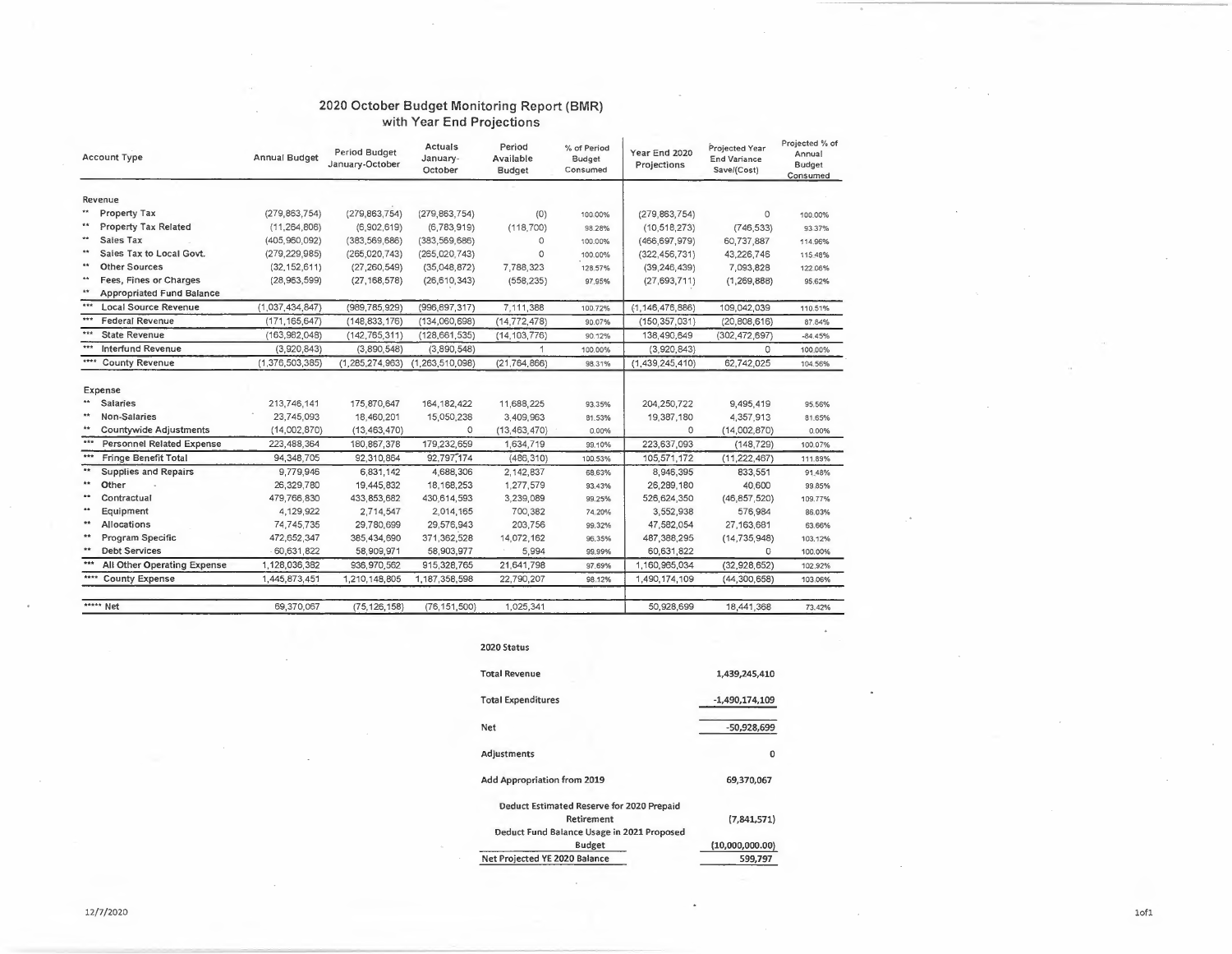#### 2020 October Budget Monitoring Report (BMR) **with Year** End **Projections**

|              | <b>Account Type</b>              | <b>Annual Budget</b> | Period Budget<br>January-October | Actuals<br>January-<br>October | Period<br>Available<br><b>Budget</b> | % of Period<br>Budget<br>Consumed | Year End 2020<br>Projections | Projected Year<br><b>End Variance</b><br>Save/(Cost) | Projected % of<br>Annual<br><b>Budget</b><br>Consumed |
|--------------|----------------------------------|----------------------|----------------------------------|--------------------------------|--------------------------------------|-----------------------------------|------------------------------|------------------------------------------------------|-------------------------------------------------------|
|              | Revenue                          |                      |                                  |                                |                                      |                                   |                              |                                                      |                                                       |
| $\star\star$ | Property Tax                     | (279, 863, 754)      | (279, 863, 754)                  | (279, 863, 754)                | (0)                                  | 100.00%                           | (279, 863, 754)              | 0                                                    | 100,00%                                               |
| $\star\star$ | <b>Property Tax Related</b>      | (11, 264, 806)       | (6,902,619)                      | (6,783,919)                    | (118, 700)                           | 98.28%                            | (10, 518, 273)               | (746, 533)                                           | 93 37%                                                |
| **           | Sales Tax                        | (405, 960, 092)      | (383, 569, 686)                  | (383, 569, 686)                | O                                    | 100.00%                           | (466, 697, 979)              | 60,737,887                                           | 114.96%                                               |
| $**$         | Sales Tax to Local Govt.         | (279, 229, 985)      | (265, 020, 743)                  | (265, 020, 743)                | $\Omega$                             | 100.00%                           | (322, 456, 731)              | 43,226,746                                           | 115 48%                                               |
| $**$         | <b>Other Sources</b>             | (32, 152, 611)       | (27, 260, 549)                   | (35,048,872)                   | 7,788,323                            | 128.57%                           | (39, 246, 439)               | 7,093,828                                            | 122 06%                                               |
| $**$         | Fees, Fines or Charges           | (28,963,599)         | (27, 168, 578)                   | (26, 610, 343)                 | (558, 235)                           | 97.95%                            | (27, 693, 711)               | (1, 269, 888)                                        | 95.62%                                                |
| $\star\star$ | <b>Appropriated Fund Balance</b> |                      |                                  |                                |                                      |                                   |                              |                                                      |                                                       |
| $***$        | <b>Local Source Revenue</b>      | (1,037,434,847)      | (989, 785, 929)                  | (996,897,317)                  | 7,111,388                            | 100.72%                           | (1, 146, 476, 886)           | 109,042,039                                          | 110.51%                                               |
| ***          | <b>Federal Revenue</b>           | (171, 165, 647)      | (148, 833, 176)                  | (134,060,698)                  | (14, 772, 478)                       | 90.07%                            | (150, 357, 031)              | (20, 808, 616)                                       | 87.84%                                                |
| ***          | <b>State Revenue</b>             | (163,982,048)        | (142, 765, 311)                  | (128, 661, 535)                | (14, 103, 776)                       | 90.12%                            | 138,490,649                  | (302,472,697)                                        | $-84.45%$                                             |
| $k + 1$      | <b>Interfund Revenue</b>         | (3,920,843)          | (3,890,548)                      | (3,890,548)                    | 1                                    | 100.00%                           | (3,920,843)                  | $\Omega$                                             | 100.00%                                               |
| ****         | <b>County Revenue</b>            | (1,376,503,385)      | (1, 285, 274, 963)               | (1, 263, 510, 098)             | (21, 764, 866)                       | 98.31%                            | (1,439,245,410)              | 62,742,025                                           | 104.56%                                               |
|              | Expense                          |                      |                                  |                                |                                      |                                   |                              |                                                      |                                                       |
|              | <b>Salaries</b>                  | 213,746,141          | 175,870,647                      | 164, 182, 422                  | 11,688,225                           | 93.35%                            | 204,250,722                  | 9,495,419                                            | 95.56%                                                |
| $\pm\pm$     | Non-Salaries                     | 23,745,093           | 18,460,201                       | 15,050,238                     | 3,409,963                            | 81.53%                            | 19,387,180                   | 4,357,913                                            | 81,65%                                                |
| **           | <b>Countywide Adjustments</b>    | (14,002,870)         | (13, 463, 470)                   | 0                              | (13, 463, 470)                       | 0.00%                             | $\circ$                      | (14,002,870)                                         | 0.00%                                                 |
| ***          | <b>Personnel Related Expense</b> | 223,488,364          | 180,867,378                      | 179,232,659                    | 1,634,719                            | 99.10%                            | 223,637,093                  | (148, 729)                                           | 100.07%                                               |
| ***          | <b>Fringe Benefit Total</b>      | 94, 348, 705         | 92,310,864                       | 92,797,174                     | (486, 310)                           | 100,53%                           | 105,571,172                  | (11, 222, 467)                                       | 111.89%                                               |
| **           | Supplies and Repairs             | 9,779,946            | 6,831,142                        | 4,688,306                      | 2.142,837                            | 68.63%                            | 8,946,395                    | 833,551                                              | 91.48%                                                |
| $**$         | Other                            | 26,329,780           | 19,445,832                       | 18, 168, 253                   | 1,277,579                            | 93.43%                            | 26,289,180                   | 40,600                                               | 99.85%                                                |
| **           | Contractual                      | 479,766,830          | 433,853,682                      | 430,614,593                    | 3,239,089                            | 99.25%                            | 526,624,350                  | (46, 857, 520)                                       | 109,77%                                               |
| $\pm\pm$     | Equipment                        | 4,129,922            | 2,714,547                        | 2,014,165                      | 700,382                              | 74,20%                            | 3,552,938                    | 576,984                                              | 86.03%                                                |
| 4.4          | Allocations                      | 74,745,735           | 29,780,699                       | 29,576,943                     | 203,756                              | 99,32%                            | 47,582,054                   | 27,163,681                                           | 63.66%                                                |
| 青青           | Program Specific                 | 472,652,347          | 385,434,690                      | 371,362,528                    | 14,072,162                           | 96,35%                            | 487,388,295                  | (14, 735, 948)                                       | 103.12%                                               |
| 44           | <b>Debt Services</b>             | 60,631,822           | 58,909,971                       | 58,903,977                     | 5,994                                | 99,99%                            | 60,631,822                   | 0                                                    | 100.00%                                               |
| ***          | All Other Operating Expense      | 1,128,036,382        | 936, 970, 562                    | 915,328,765                    | 21,641,798                           | 97.69%                            | 1,160,965,034                | (32, 928, 652)                                       | 102.92%                                               |
| ****         | <b>County Expense</b>            | 1,445,873,451        | 1,210,148,805                    | 1,187,358,598                  | 22.790,207                           | 98.12%                            | 1,490,174,109                | (44, 300, 658)                                       | 103.06%                                               |
|              | ***** Net                        | 69.370.067           | (75, 126, 158)                   | (76, 151, 500)                 | 1.025.341                            |                                   | 50.928.699                   | 18,441,368                                           | 73.42%                                                |

| 2020 Status                                                                                           |                  |
|-------------------------------------------------------------------------------------------------------|------------------|
| <b>Total Revenue</b>                                                                                  | 1,439,245,410    |
| <b>Total Expenditures</b>                                                                             | $-1,490,174,109$ |
| Net                                                                                                   | $-50,928,699$    |
| Adjustments                                                                                           | 0                |
| Add Appropriation from 2019                                                                           | 69,370,067       |
| Deduct Estimated Reserve for 2020 Prepaid<br>Retirement<br>Deduct Fund Balance Usage in 2021 Proposed | (7,841,571)      |
| Budget                                                                                                | (10,000,000.00)  |
| Net Projected YE 2020 Balance                                                                         | 599,797          |

 $\lambda$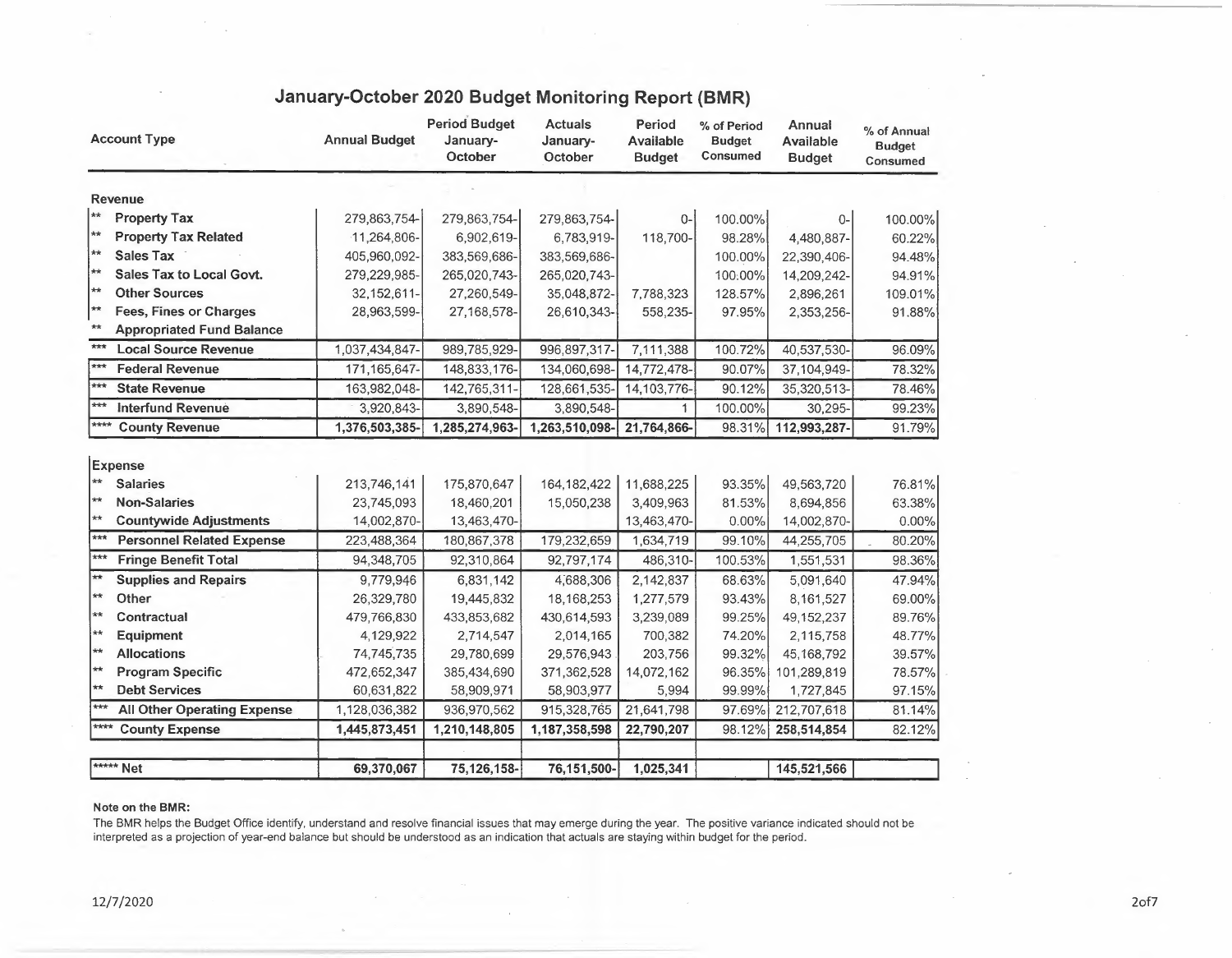| <b>Account Type</b>  |                                                          | <b>Annual Budget</b>      | <b>Period Budget</b><br>January-<br>October | <b>Actuals</b><br>January-<br>October | Period<br><b>Available</b><br><b>Budget</b> | % of Period<br><b>Budget</b><br>Consumed | <b>Annual</b><br><b>Available</b><br><b>Budget</b> | % of Annual<br><b>Budget</b><br>Consumed |
|----------------------|----------------------------------------------------------|---------------------------|---------------------------------------------|---------------------------------------|---------------------------------------------|------------------------------------------|----------------------------------------------------|------------------------------------------|
|                      | Revenue                                                  |                           |                                             |                                       |                                             |                                          |                                                    |                                          |
| ∗∗                   | <b>Property Tax</b>                                      | 279,863,754-              | 279,863,754-                                | 279,863,754-                          | $0-$                                        | 100.00%                                  | $0-$                                               | 100.00%                                  |
| **                   | <b>Property Tax Related</b>                              | $-11,264,806$             | 6,902,619-                                  | 6,783,919-                            | 118,700-                                    | 98.28%                                   | 4,480,887-                                         | 60.22%                                   |
| ∤∗∗                  | <b>Sales Tax</b>                                         | 405,960,092-              | 383,569,686-                                | 383,569,686-                          |                                             | 100.00%                                  | 22,390,406-                                        | 94.48%                                   |
| **                   | Sales Tax to Local Govt.                                 | 279,229,985-              | 265,020,743-                                | 265,020,743-                          |                                             | 100:00%                                  | 14,209,242-                                        | 94.91%                                   |
| **                   | <b>Other Sources</b>                                     | 32, 152, 611-             | 27,260,549-                                 | 35,048,872-                           | 7,788,323                                   | 128.57%                                  | 2,896,261                                          | 109.01%                                  |
| **                   | <b>Fees, Fines or Charges</b>                            | 28,963,599-               | 27,168,578-                                 | 26,610,343-                           | 558,235-                                    | 97.95%                                   | 2,353,256-                                         | 91.88%                                   |
| $\star\star$         | <b>Appropriated Fund Balance</b>                         |                           |                                             |                                       |                                             |                                          |                                                    |                                          |
| ***                  | <b>Local Source Revenue</b>                              | 1,037,434,847-            | 989,785,929-                                | 996,897,317-                          | 7,111,388                                   | 100.72%                                  | 40,537,530-                                        | 96.09%                                   |
| $\overline{***}$     | <b>Federal Revenue</b>                                   | 171, 165, 647-            | 148,833,176-                                | 134,060,698-                          | 14,772,478-                                 | 90.07%                                   | 37,104,949-                                        | 78.32%                                   |
| $***$                | <b>State Revenue</b>                                     | 163,982,048-              | 142,765,311-                                | 128,661,535-                          | 14,103,776-                                 | 90.12%                                   | 35,320,513-                                        | 78.46%                                   |
| $***$                | <b>Interfund Revenue</b>                                 | 3,920,843-                | 3,890,548-                                  | 3,890,548-                            | 1                                           | 100.00%                                  | 30,295-                                            | 99.23%                                   |
| $****$               | <b>County Revenue</b>                                    | 1,376,503,385-            | 1,285,274,963-                              | 1,263,510,098-                        | 21,764,866-                                 | 98.31%                                   | 112,993,287-                                       | 91.79%                                   |
| $**$<br>$**$         | <b>Expense</b><br><b>Salaries</b><br><b>Non-Salaries</b> | 213,746,141<br>23,745,093 | 175,870,647<br>18,460,201                   | 164, 182, 422<br>15,050,238           | 11,688,225<br>3,409,963                     | 93.35%<br>81.53%                         | 49,563,720<br>8,694,856                            | 76.81%<br>63.38%                         |
| $**$<br>$***$        | <b>Countywide Adjustments</b>                            | 14,002,870-               | 13,463,470-                                 |                                       | 13,463,470-                                 | 0.00%                                    | 14,002,870-                                        | 0.00%                                    |
| $***$                | <b>Personnel Related Expense</b>                         | 223,488,364               | 180,867,378                                 | 179,232,659                           | 1,634,719                                   | 99.10%                                   | 44,255,705                                         | 80.20%                                   |
|                      | <b>Fringe Benefit Total</b>                              | 94,348,705                | 92,310,864                                  | 92,797,174                            | 486,310-                                    | 100.53%                                  | 1,551,531                                          | 98.36%                                   |
| $\star\star$         | <b>Supplies and Repairs</b>                              | 9,779,946                 | 6,831,142                                   | 4,688,306                             | 2,142,837                                   | 68.63%                                   | 5,091,640                                          | 47.94%                                   |
| $\star\star$<br>$**$ | Other                                                    | 26,329,780                | 19,445,832                                  | 18,168,253                            | 1,277,579                                   | 93.43%                                   | 8,161,527                                          | 69.00%                                   |
| **                   | Contractual                                              | 479,766,830               | 433,853,682                                 | 430,614,593                           | 3,239,089                                   | 99.25%                                   | 49,152,237                                         | 89.76%                                   |
| $**$                 | Equipment                                                | 4,129,922                 | 2,714,547                                   | 2,014,165                             | 700,382                                     | 74.20%                                   | 2,115,758                                          | 48.77%                                   |
| $\star\star$         | <b>Allocations</b><br><b>Program Specific</b>            | 74,745,735<br>472,652,347 | 29,780,699<br>385,434,690                   | 29,576,943<br>371,362,528             | 203,756<br>14,072,162                       | 99.32%<br>96.35%                         | 45,168,792<br>101,289,819                          | 39.57%<br>78.57%                         |
| $**$                 | <b>Debt Services</b>                                     | 60,631,822                | 58,909,971                                  | 58,903,977                            | 5,994                                       | 99.99%                                   | 1,727,845                                          | 97.15%                                   |
| $***$                | <b>All Other Operating Expense</b>                       | 1,128,036,382             | 936,970,562                                 | 915,328,765                           | 21,641,798                                  | 97.69%                                   | 212,707,618                                        | 81.14%                                   |
| ****                 | <b>County Expense</b>                                    | 1,445,873,451             | 1,210,148,805                               | 1,187,358,598                         | 22,790,207                                  | 98.12%                                   | 258,514,854                                        | 82.12%                                   |
|                      |                                                          |                           |                                             |                                       |                                             |                                          |                                                    |                                          |
|                      | ***** Net                                                | 69,370,067                | 75,126,158-                                 | 76,151,500-                           | 1,025,341                                   |                                          | 145,521,566                                        |                                          |

# **January-October 2020 Budget Monitoring Report (BMR)**

#### **Note on the BMR:**

The BMR helps the Budget Office identify, understand and resolve financial issues that may emerge during the year. The positive variance indicated should not be interpreted as a projection of year-end balance but should be understood as an indication that actuals are staying within budget for the period.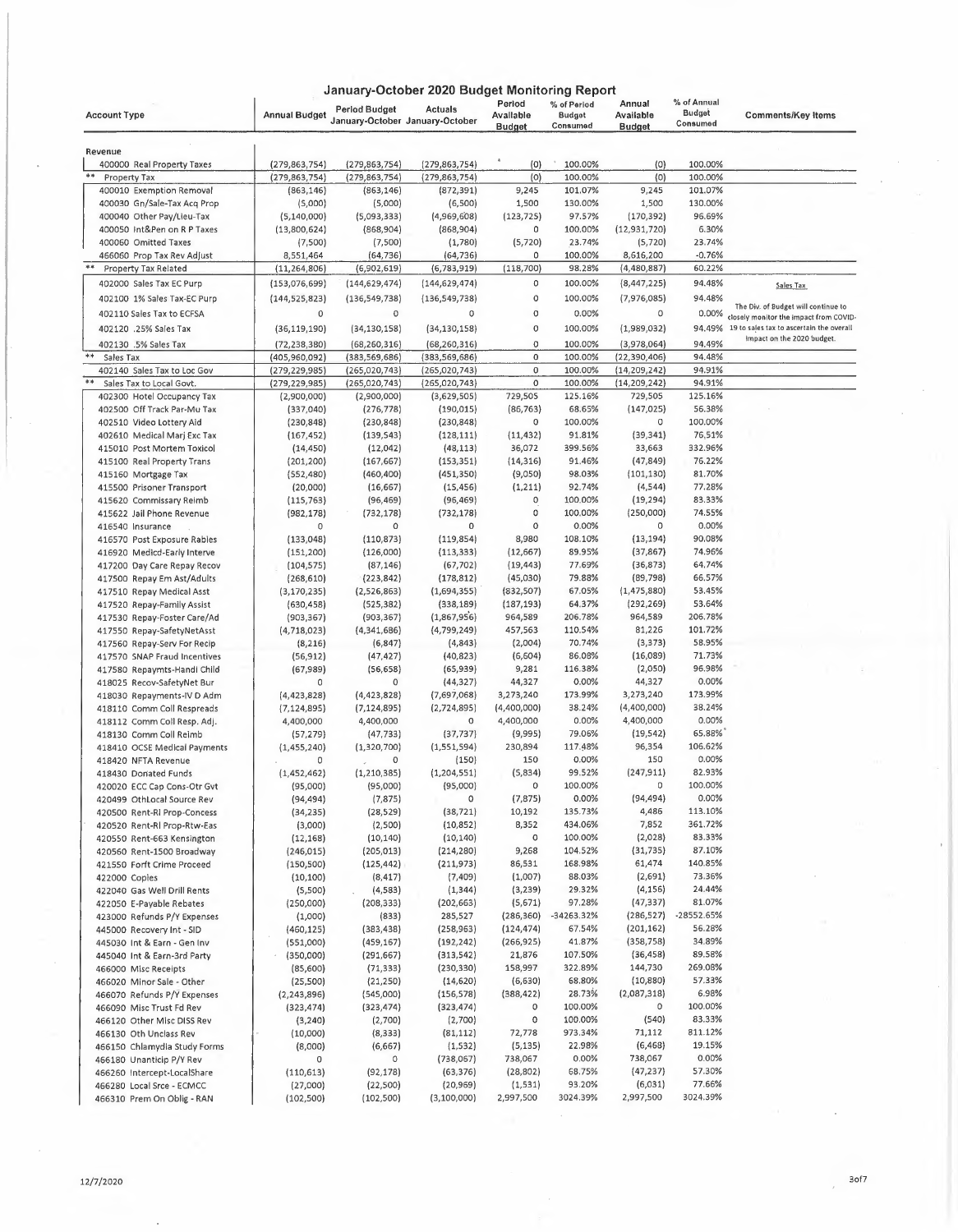|                                                            |                          |                          | January-October 2020 Budget Monitoring Report     |                                      |                                          |                                      |                                          |                                          |
|------------------------------------------------------------|--------------------------|--------------------------|---------------------------------------------------|--------------------------------------|------------------------------------------|--------------------------------------|------------------------------------------|------------------------------------------|
| <b>Account Type</b>                                        | <b>Annual Budget</b>     | Period Budget            | <b>Actuals</b><br>January-October January-October | Period<br>Avallable<br><b>Budget</b> | % of Period<br><b>Budget</b><br>Consumed | Annual<br>Available<br><b>Budget</b> | % of Annual<br><b>Budget</b><br>Consumed | <b>Comments/Key Items</b>                |
|                                                            |                          |                          |                                                   |                                      |                                          |                                      |                                          |                                          |
| Revenue<br>400000 Real Property Taxes                      | (279, 863, 754)          | (279, 863, 754)          | (279, 863, 754)                                   | (0)                                  | 100.00%                                  | (0)                                  | 100.00%                                  |                                          |
| **<br>Property Tax                                         | (279, 863, 754)          | (279, 863, 754)          | (279, 863, 754)                                   | (0)                                  | 100.00%                                  | (0)                                  | 100.00%                                  |                                          |
| 400010 Exemption Removal                                   | (863, 146)               | (863, 146)               | (872, 391)                                        | 9,245                                | 101.07%                                  | 9,245                                | 101.07%                                  |                                          |
| 400030 Gn/Sale-Tax Acq Prop                                | (5,000)                  | (5,000)                  | (6,500)                                           | 1,500                                | 130.00%                                  | 1,500                                | 130.00%                                  |                                          |
| 400040 Other Pay/Lieu-Tax                                  | (5,140,000)              | (5,093,333)              | (4,969,608)                                       | (123, 725)                           | 97.57%                                   | (170, 392)                           | 96.69%                                   |                                          |
| 400050 Int&Pen on R P Taxes                                | (13,800,624)             | (868,904)                | (868,904)                                         | 0                                    | 100,00%                                  | (12, 931, 720)                       | 6.30%                                    |                                          |
| 400060 Omitted Taxes                                       | (7,500)                  | (7,500)                  | (1,780)                                           | (5, 720)                             | 23.74%                                   | (5, 720)                             | 23.74%                                   |                                          |
| 466060 Prop Tax Rev Adjust                                 | 8,551,464                | (64, 736)                | (64,736)                                          | 0                                    | 100.00%                                  | 8,616,200                            | $-0.76%$                                 |                                          |
| **<br>Property Tax Related                                 | (11, 264, 806)           | (6,902,619)              | (6,783,919)                                       | (118, 700)                           | 98.28%                                   | (4,480,887)                          | 60.22%                                   |                                          |
| 402000 Sales Tax EC Purp                                   | (153,076,699)            | (144,629,474)            | (144, 629, 474)                                   | 0                                    | 100.00%                                  | (8,447,225)                          | 94.48%                                   | Sales Tax                                |
| 402100 1% Sales Tax-EC Purp                                | (144, 525, 823)          | (136, 549, 738)          | (136, 549, 738)                                   | 0                                    | 100.00%                                  | (7,976,085)                          | 94.48%                                   | The Div. of Budget will continue to      |
| 402110 Sales Tax to ECFSA                                  | 0                        | 0                        | 0                                                 | 0                                    | 0.00%                                    | $\circ$                              | 0.00%                                    | closely monitor the impact from COVID-   |
| 402120 .25% Sales Tax                                      | (36, 119, 190)           | (34, 130, 158)           | (34, 130, 158)                                    | 0                                    | 100.00%                                  | (1,989,032)                          | 94.49%                                   | 19 to sales tax to ascertain the overall |
| 402130 .5% Sales Tax                                       | (72, 238, 380)           | (68, 260, 316)           | (68, 260, 316)                                    | 0                                    | 100.00%                                  | (3,978,064)                          | 94.49%                                   | impact on the 2020 budget.               |
| Sales Tax                                                  | (405,960,092)            | (383, 569, 686)          | (383,569,686)                                     | 0                                    | 100.00%                                  | (22, 390, 406)                       | 94.48%                                   |                                          |
| 402140 Sales Tax to Loc Gov                                | (279,229,985)            | (265,020,743)            | (265,020,743)                                     | 0                                    | 100.00%                                  | (14, 209, 242)                       | 94.91%                                   |                                          |
| **<br>Sales Tax to Local Govt.                             | (279, 229, 985)          | (265, 020, 743)          | (265, 020, 743)                                   | 0                                    | 100.00%                                  | (14, 209, 242)                       | 94.91%                                   |                                          |
| 402300 Hotel Occupancy Tax                                 | (2,900,000)              | (2,900,000)              | (3,629,505)                                       | 729,505                              | 125.16%                                  | 729,505                              | 125.16%                                  |                                          |
| 402500 Off Track Par-Mu Tax                                | (337,040)                | (276, 778)               | (190, 015)                                        | (86, 763)                            | 68.65%                                   | (147, 025)                           | 56.38%                                   |                                          |
| 402510 Video Lottery Aid                                   | (230, 848)               | (230, 848)               | (230, 848)                                        | 0                                    | 100.00%                                  | 0                                    | 100.00%                                  |                                          |
| 402610 Medical Marj Exc Tax                                | (167, 452)               | (139, 543)               | (128, 111)                                        | (11, 432)                            | 91.81%                                   | (39, 341)                            | 76,51%                                   |                                          |
| 415010 Post Mortem Toxicol                                 | (14, 450)                | (12,042)                 | (48, 113)                                         | 36,072                               | 399.56%                                  | 33,663                               | 332.96%                                  |                                          |
| 415100 Real Property Trans                                 | (201, 200)               | (167, 667)               | (153, 351)                                        | (14, 316)                            | 91.46%                                   | (47, 849)                            | 76.22%                                   |                                          |
| 415160 Mortgage Tax                                        | (552, 480)               | (460, 400)               | (451, 350)                                        | (9,050)                              | 98,03%                                   | (101, 130)                           | 81.70%                                   |                                          |
| 415500 Prisoner Transport                                  | (20,000)                 | (16, 667)                | (15, 456)                                         | (1, 211)                             | 92.74%                                   | (4, 544)                             | 77.28%                                   |                                          |
| 415620 Commissary Reimb                                    | (115, 763)               | (96, 469)                | (96, 469)                                         | 0                                    | 100,00%                                  | (19, 294)                            | 83.33%                                   |                                          |
| 415622 Jail Phone Revenue                                  | (982, 178)               | (732, 178)               | (732,178)                                         | 0                                    | 100.00%                                  | (250,000)<br>0                       | 74.55%                                   |                                          |
| 416540 Insurance                                           | 0                        | 0                        | 0                                                 | 0<br>8,980                           | 0.00%<br>108.10%                         |                                      | 0.00%<br>90.08%                          |                                          |
| 416570 Post Exposure Rabies                                | (133,048)<br>(151, 200)  | (110, 873)<br>(126,000)  | (119, 854)<br>(113, 333)                          | (12, 667)                            | 89.95%                                   | (13, 194)<br>(37, 867)               | 74.96%                                   |                                          |
| 416920 Medicd-Early Interve<br>417200 Day Care Repay Recov | (104, 575)               | (87, 146)                | (67, 702)                                         | (19, 443)                            | 77.69%                                   | (36, 873)                            | 64.74%                                   |                                          |
| 417500 Repay Em Ast/Adults                                 | (268, 610)               | (223, 842)               | (178, 812)                                        | (45,030)                             | 79.88%                                   | (89, 798)                            | 66.57%                                   |                                          |
| 417510 Repay Medical Asst                                  | (3, 170, 235)            | (2,526,863)              | (1,694,355)                                       | (832, 507)                           | 67.05%                                   | (1, 475, 880)                        | 53.45%                                   |                                          |
| 417520 Repay-Family Assist                                 | (630, 458)               | (525, 382)               | (338, 189)                                        | (187, 193)                           | 64.37%                                   | (292, 269)                           | 53.64%                                   |                                          |
| 417530 Repay-Foster Care/Ad                                | (903, 367)               | (903, 367)               | (1,867,956)                                       | 964,589                              | 206.78%                                  | 964,589                              | 206.78%                                  |                                          |
| 417550 Repay-SafetyNetAsst                                 | (4,718,023)              | (4,341,686)              | (4,799,249)                                       | 457,563                              | 110.54%                                  | 81,226                               | 101.72%                                  |                                          |
| 417560 Repay-Serv For Recip                                | (8, 216)                 | (6, 847)                 | (4, 843)                                          | (2,004)                              | 70.74%                                   | (3, 373)                             | 58.95%                                   |                                          |
| 417570 SNAP Fraud Incentives                               | (56, 912)                | (47, 427)                | (40, 823)                                         | (6,604)                              | 86.08%                                   | (16,089)                             | 71.73%                                   |                                          |
| 417580 Repaymts-Handi Child                                | (67,989)                 | (56, 658)                | (65, 939)                                         | 9,281                                | 116.38%                                  | (2,050)                              | 96.98%                                   |                                          |
| 418025 Recov-SafetyNet Bur                                 | 0                        | 0                        | (44, 327)                                         | 44,327                               | 0.00%                                    | 44,327                               | 0.00%                                    |                                          |
| 418030 Repayments-IV D Adm                                 | (4,423,828)              | (4, 423, 828)            | (7,697,068)                                       | 3,273,240                            | 173.99%                                  | 3,273,240                            | 173.99%                                  |                                          |
| 418110 Comm Coll Respreads                                 | (7, 124, 895)            | (7, 124, 895)            | (2,724,895)                                       | (4,400,000)                          | 38.24%                                   | (4,400,000)                          | 38.24%                                   |                                          |
| 418112 Comm Coll Resp. Adj.                                | 4,400,000                | 4,400,000                | 0                                                 | 4,400,000                            | 0.00%                                    | 4,400,000                            | 0.00%                                    |                                          |
| 418130 Comm Coll Reimb                                     | (57, 279)                | (47, 733)                | (37, 737)                                         | (9,995)                              | 79.06%                                   | (19, 542)                            | 65.88%                                   |                                          |
| 418410 OCSE Medical Payments                               | (1, 455, 240)            | (1,320,700)              | (1,551,594)                                       | 230,894                              | 117.48%                                  | 96,354                               | 106.62%                                  |                                          |
| 418420 NFTA Revenue                                        | 0                        | 0                        | (150)                                             | 150                                  | 0.00%                                    | 150                                  | 0.00%                                    |                                          |
| 418430 Donated Funds                                       | (1,452,462)              | (1,210,385)              | (1,204,551)                                       | (5,834)                              | 99.52%                                   | (247, 911)                           | 82.93%                                   |                                          |
| 420020 ECC Cap Cons-Otr Gvt                                | (95,000)                 | (95,000)                 | (95,000)                                          | 0                                    | 100.00%                                  | 0                                    | 100.00%                                  |                                          |
| 420499 OthLocal Source Rev                                 | (94,494)                 | (7, 875)                 | 0                                                 | (7, 875)                             | 0.00%                                    | (94, 494)                            | 0.00%                                    |                                          |
| 420500 Rent-RI Prop-Concess                                | (34,235)                 | (28, 529)                | (38, 721)                                         | 10,192                               | 135.73%                                  | 4,486                                | 113.10%                                  |                                          |
| 420520 Rent-RI Prop-Rtw-Eas                                | (3,000)                  | (2,500)                  | (10, 852)                                         | 8,352<br>0                           | 434.06%<br>100.00%                       | 7,852<br>(2,028)                     | 361.72%<br>83.33%                        |                                          |
| 420550 Rent-663 Kensington                                 | (12, 168)                | (10, 140)                | (10, 140)                                         | 9,268                                | 104.52%                                  | (31, 735)                            | 87.10%                                   |                                          |
| 420560 Rent-1500 Broadway                                  | (246, 015)<br>(150, 500) | (205, 013)<br>(125, 442) | (214, 280)<br>(211, 973)                          | 86,531                               | 168.98%                                  | 61,474                               | 140.85%                                  |                                          |
| 421550 Forft Crime Proceed<br>422000 Copies                | (10, 100)                | (8, 417)                 | (7, 409)                                          | (1,007)                              | 88.03%                                   | (2,691)                              | 73.36%                                   |                                          |
| 422040 Gas Well Drill Rents                                | (5,500)                  | (4,583)                  | (1, 344)                                          | (3, 239)                             | 29.32%                                   | (4, 156)                             | 24.44%                                   |                                          |
| 422050 E-Payable Rebates                                   | (250,000)                | (208, 333)               | (202, 663)                                        | (5,671)                              | 97.28%                                   | (47, 337)                            | 81.07%                                   |                                          |
| 423000 Refunds P/Y Expenses                                | (1,000)                  | (833)                    | 285,527                                           | (286, 360)                           | -34263.32%                               | (286, 527)                           | -28552.65%                               |                                          |
| 445000 Recovery Int - SID                                  | (460, 125)               | (383, 438)               | (258, 963)                                        | (124, 474)                           | 67.54%                                   | (201, 162)                           | 56.28%                                   |                                          |
| 445030 Int & Earn - Gen Inv                                | (551,000)                | (459, 167)               | (192, 242)                                        | (266, 925)                           | 41.87%                                   | (358, 758)                           | 34.89%                                   |                                          |
| 445040 Int & Earn-3rd Party                                | (350,000)                | (291, 667)               | (313,542)                                         | 21,876                               | 107.50%                                  | (36, 458)                            | 89.58%                                   |                                          |
| 466000 Misc Receipts                                       | (85,600)                 | (71, 333)                | (230, 330)                                        | 158,997                              | 322.89%                                  | 144,730                              | 269.08%                                  |                                          |
| 466020 Minor Sale - Other                                  | (25, 500)                | (21,250)                 | (14, 620)                                         | (6,630)                              | 68.80%                                   | (10, 880)                            | 57.33%                                   |                                          |
| 466070 Refunds P/Y Expenses                                | (2, 243, 896)            | (545,000)                | (156, 578)                                        | (388, 422)                           | 28.73%                                   | (2,087,318)                          | 6.98%                                    |                                          |
| 466090 Misc Trust Fd Rev                                   | (323,474)                | (323, 474)               | (323, 474)                                        | 0                                    | 100.00%                                  | 0                                    | 100.00%                                  |                                          |
| 466120 Other Misc DISS Rev                                 | (3, 240)                 | (2,700)                  | (2,700)                                           | 0                                    | 100.00%                                  | (540)                                | 83.33%                                   |                                          |
| 466130 Oth Unclass Rev                                     | (10,000)                 | (8, 333)                 | (81, 112)                                         | 72,778                               | 973.34%                                  | 71,112                               | 811.12%                                  |                                          |
| 466150 Chlamydia Study Forms                               | (8,000)                  | (6,667)                  | (1, 532)                                          | (5, 135)                             | 22.98%                                   | (6, 468)                             | 19.15%                                   |                                          |
| 466180 Unanticip P/Y Rev                                   | 0                        | 0                        | (738,067)                                         | 738,067                              | 0.00%                                    | 738,067                              | 0.00%                                    |                                          |
| 466260 Intercept-LocalShare                                | (110, 613)               | (92, 178)                | (63, 376)                                         | (28, 802)                            | 68.75%                                   | (47, 237)                            | 57.30%                                   |                                          |
| 466280 Local Srce - ECMCC                                  | (27,000)                 | (22,500)                 | (20, 969)                                         | (1,531)                              | 93.20%                                   | (6,031)                              | 77.66%                                   |                                          |
| 466310 Prem On Oblig - RAN                                 | (102, 500)               | (102, 500)               | (3,100,000)                                       | 2,997,500                            | 3024.39%                                 | 2,997,500                            | 3024.39%                                 |                                          |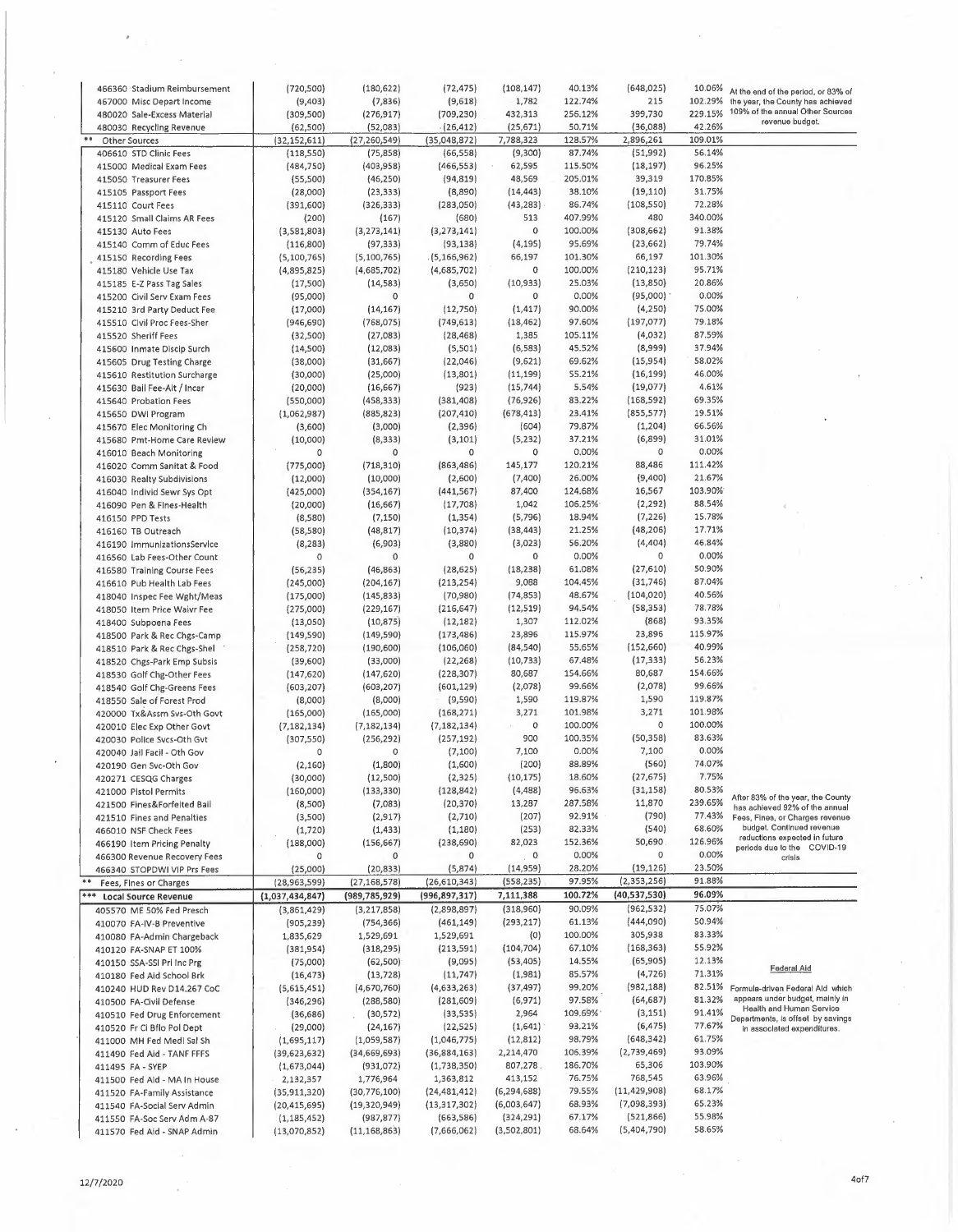|     | 466360 Stadium Reimbursement                               | (720, 500)                    | (180, 622)                   | (72, 475)                | (108, 147)                | 40.13%           | (648, 025)                | 10.06%           | At the end of the period, or 83% of                                |
|-----|------------------------------------------------------------|-------------------------------|------------------------------|--------------------------|---------------------------|------------------|---------------------------|------------------|--------------------------------------------------------------------|
|     | 467000 Misc Depart Income                                  | (9,403)                       | (7,836)                      | (9,618)                  | 1,782                     | 122.74%          | 215                       | 102.29%          | the year, the County has achieved                                  |
|     | 480020 Sale-Excess Material                                | (309, 500)                    | (276,917)                    | (709, 230)               | 432,313                   | 256.12%          | 399,730                   | 229.15%          | 109% of the annual Other Sources                                   |
|     | 480030 Recycling Revenue                                   | (62, 500)                     | (52,083)                     | (26, 412)                | (25, 671)                 | 50,71%           | (36,088)                  | 42.26%           | revenue budget.                                                    |
| 难难  | Other Sources                                              |                               | (27, 260, 549)               | (35,048,872)             | 7,788,323                 | 128.57%          | 2,896,261                 | 109.01%          |                                                                    |
|     |                                                            | (32, 152, 611)                | (75, 858)                    | (66, 558)                | (9,300)                   | 87.74%           | (51, 992)                 | 56.14%           |                                                                    |
|     | 406610 STD Clinic Fees                                     | (118, 550)                    |                              |                          |                           |                  |                           | 96.25%           |                                                                    |
|     | 415000 Medical Exam Fees                                   | (484, 750)                    | (403, 958)                   | (466, 553)               | 62,595                    | 115.50%          | (18, 197)                 |                  |                                                                    |
|     | 415050 Treasurer Fees                                      | (55,500)                      | (46, 250)                    | (94, 819)                | 48,569                    | 205.01%          | 39,319                    | 170.85%          |                                                                    |
|     | 415105 Passport Fees                                       | (28,000)                      | (23, 333)                    | (8,890)                  | (14, 443)                 | 38.10%           | (19, 110)                 | 31.75%           |                                                                    |
|     | 415110 Court Fees                                          | (391, 600)                    | (326, 333)                   | (283,050)                | (43, 283)                 | 86.74%           | (108, 550)                | 72.28%           |                                                                    |
|     | 415120 Small Claims AR Fees                                | (200)                         | (167)                        | (680)                    | 513                       | 407.99%          | 480                       | 340.00%          |                                                                    |
|     | 415130 Auto Fees                                           | (3,581,803)                   | (3, 273, 141)                | (3, 273, 141)            | 0                         | 100.00%          | (308, 662)                | 91.38%           |                                                                    |
|     | 415140 Comm of Educ Fees                                   | (116,800)                     | (97, 333)                    | (93, 138)                | (4, 195)                  | 95.69%           | (23, 662)                 | 79.74%           |                                                                    |
|     | 415150 Recording Fees                                      | (5,100,765)                   | (5, 100, 765)                | (5, 166, 962)            | 66,197                    | 101.30%          | 66,197                    | 101.30%          |                                                                    |
|     |                                                            |                               |                              |                          | 0                         | 100.00%          |                           | 95.71%           |                                                                    |
|     | 415180 Vehicle Use Tax                                     | (4,895,825)                   | (4,685,702)                  | (4,685,702)              |                           |                  | (210, 123)                |                  |                                                                    |
|     | 415185 E-Z Pass Tag Sales                                  | (17,500)                      | (14, 583)                    | (3,650)                  | (10, 933)                 | 25.03%           | (13,850)                  | 20.86%           |                                                                    |
|     | 415200 Civil Serv Exam Fees                                | (95,000)                      | 0                            | 0                        | $\mathbf 0$               | 0.00%            | (95,000)                  | 0.00%            |                                                                    |
|     | 415210 3rd Party Deduct Fee                                | (17,000)                      | (14, 167)                    | (12, 750)                | (1, 417)                  | 90.00%           | (4,250)                   | 75.00%           |                                                                    |
|     | 415510 Civil Proc Fees-Sher                                | (946, 690)                    | (768, 075)                   | (749, 613)               | (18, 462)                 | 97.60%           | (197, 077)                | 79.18%           |                                                                    |
|     | 415520 Sheriff Fees                                        | (32,500)                      | (27,083)                     | (28, 468)                | 1,385                     | 105.11%          | (4,032)                   | 87.59%           |                                                                    |
|     | 415600 Inmate Discip Surch                                 | (14,500)                      | (12,083)                     | (5,501)                  | (6, 583)                  | 45.52%           | (8,999)                   | 37.94%           |                                                                    |
|     |                                                            |                               |                              | (22,046)                 | (9,621)                   | 69.62%           | (15, 954)                 | 58.02%           |                                                                    |
|     | 415605 Drug Testing Charge                                 | (38,000)                      | (31, 667)                    |                          |                           |                  |                           |                  |                                                                    |
|     | 415610 Restitution Surcharge                               | (30,000)                      | (25,000)                     | (13, 801)                | (11, 199)                 | 55.21%           | (16, 199)                 | 46.00%           |                                                                    |
|     | 415630 Bail Fee-Alt / Incar                                | (20,000)                      | (16, 667)                    | (923)                    | (15, 744)                 | 5.54%            | (19,077)                  | 4.61%            |                                                                    |
|     | 415640 Probation Fees                                      | (550,000)                     | (458,333)                    | (381, 408)               | (76, 926)                 | 83.22%           | (168, 592)                | 69.35%           |                                                                    |
|     | 415650 DWI Program                                         | (1,062,987)                   | (885, 823)                   | (207, 410)               | (678, 413)                | 23.41%           | (855, 577)                | 19.51%           |                                                                    |
|     | 415670 Elec Monitoring Ch                                  | (3,600)                       | (3,000)                      | (2, 396)                 | (604)                     | 79.87%           | (1, 204)                  | 66.56%           |                                                                    |
|     | 415680 Pmt-Home Care Review                                | (10,000)                      | (8, 333)                     | (3, 101)                 | (5, 232)                  | 37.21%           | (6,899)                   | 31.01%           |                                                                    |
|     |                                                            | $\circ$                       | 0                            | 0                        | 0                         | 0.00%            | $\circ$                   | 0.00%            |                                                                    |
|     | 416010 Beach Monitoring                                    |                               |                              |                          |                           |                  |                           |                  |                                                                    |
|     | 416020 Comm Sanitat & Food                                 | (775,000)                     | (718, 310)                   | (863, 486)               | 145,177                   | 120.21%          | 88,486                    | 111.42%          |                                                                    |
|     | 416030 Realty Subdivisions                                 | (12,000)                      | (10,000)                     | (2,600)                  | (7,400)                   | 26.00%           | (9,400)                   | 21.67%           |                                                                    |
|     | 416040 Individ Sewr Sys Opt                                | (425,000)                     | (354, 167)                   | (441, 567)               | 87,400                    | 124.68%          | 16,567                    | 103.90%          |                                                                    |
|     | 416090 Pen & Fines-Health                                  | (20,000)                      | (16, 667)                    | (17,708)                 | 1,042                     | 106.25%          | (2, 292)                  | 88.54%           |                                                                    |
|     | 416150 PPD Tests                                           | (8,580)                       | (7, 150)                     | (1, 354)                 | (5, 796)                  | 18.94%           | (7, 226)                  | 15.78%           |                                                                    |
|     | 416160 TB Outreach                                         | (58, 580)                     | (48, 817)                    | (10, 374)                | (38, 443)                 | 21.25%           | (48, 206)                 | 17.71%           |                                                                    |
|     |                                                            |                               | (6,903)                      | (3,880)                  | (3,023)                   | 56.20%           | (4, 404)                  | 46.84%           |                                                                    |
|     | 416190 ImmunizationsService                                | (8, 283)                      |                              |                          |                           | 0.00%            | 0                         | 0.00%            |                                                                    |
|     | 416560 Lab Fees-Other Count                                | 0                             | 0                            | $\mathsf O$              | 0                         |                  |                           |                  |                                                                    |
|     | 416580 Training Course Fees                                | (56, 235)                     | (46, 863)                    | (28, 625)                | (18, 238)                 | 61.08%           | (27, 610)                 | 50.90%           |                                                                    |
|     | 416610 Pub Health Lab Fees                                 | (245,000)                     | (204, 167)                   | (213, 254)               | 9,088                     | 104.45%          | (31,746)                  | 87.04%           |                                                                    |
|     | 418040 Inspec Fee Wght/Meas                                | (175,000)                     | (145, 833)                   | (70, 980)                | (74, 853)                 | 48.67%           | (104, 020)                | 40.56%           |                                                                    |
|     | 418050 Item Price Waivr Fee                                | (275,000)                     | (229, 167)                   | (216, 647)               | (12, 519)                 | 94.54%           | (58, 353)                 | 78,78%           |                                                                    |
|     | 418400 Subpoena Fees                                       | (13,050)                      | (10, 875)                    | (12, 182)                | 1,307                     | 112.02%          | (868)                     | 93.35%           |                                                                    |
|     | 418500 Park & Rec Chgs-Camp                                | (149, 590)                    | (149, 590)                   | (173, 486)               | 23,896                    | 115.97%          | 23,896                    | 115.97%          |                                                                    |
|     |                                                            |                               |                              |                          |                           |                  |                           | 40.99%           |                                                                    |
|     | 418510 Park & Rec Chgs-Shel                                | (258, 720)                    | (190, 600)                   | (106, 060)               | (84,540)                  | 55.65%           | (152, 660)                |                  |                                                                    |
|     | 418520 Chgs-Park Emp Subsis                                | (39,600)                      | (33,000)                     | (22, 268)                | (10, 733)                 | 67.48%           | (17, 333)                 | 56.23%           |                                                                    |
|     | 418530 Golf Chg-Other Fees                                 | (147, 620)                    | (147, 620)                   | (228, 307)               | 80,687                    | 154.66%          | 80,687                    | 154.66%          |                                                                    |
|     | 418540 Golf Chg-Greens Fees                                | (603, 207)                    | (603,207)                    | (601, 129)               | (2,078)                   | 99.66%           | (2,078)                   | 99.66%           |                                                                    |
|     | 418550 Sale of Forest Prod                                 | (8,000)                       | (8,000)                      | (9,590)                  | 1,590                     | 119.87%          | 1,590                     | 119.87%          |                                                                    |
|     | 420000 Tx&Assm Svs-Oth Govt                                | (165,000)                     | (165,000)                    | (168, 271)               | 3,271                     | 101.98%          | 3,271                     | 101.98%          |                                                                    |
|     |                                                            | (7, 182, 134)                 | (7, 182, 134)                | (7, 182, 134)            | 0<br>$\sim$               | 100.00%          | $\circ$                   | 100.00%          |                                                                    |
|     | 420010 Elec Exp Other Govt                                 |                               |                              |                          | 900                       | 100.35%          | (50, 358)                 | 83.63%           |                                                                    |
|     | 420030 Police Svcs-Oth Gvt                                 | (307, 550)                    | (256, 292)                   | (257, 192)               |                           |                  |                           |                  |                                                                    |
|     | 420040 Jail Facil - Oth Gov                                | 0                             | 0                            | (7,100)                  | 7,100                     | 0.00%            | 7,100                     | 0.00%            |                                                                    |
|     | 420190 Gen Svc-Oth Gov                                     | (2, 160)                      | (1,800)                      | (1,600)                  | (200)                     | 88.89%           | (560)                     | 74.07%           |                                                                    |
|     | 420271 CESQG Charges                                       | (30,000)                      | (12,500)                     | (2,325)                  | (10, 175)                 | 18.60%           | (27, 675)                 | 7.75%            |                                                                    |
|     | 421000 Pistol Permits                                      | (160,000)                     | (133, 330)                   | (128, 842)               | (4, 488)                  | 96.63%           | (31, 158)                 | 80.53%           |                                                                    |
|     | 421500 Fines&Forfelted Bail                                | (8,500)                       | (7,083)                      | (20, 370)                | 13,287                    | 287.58%          | 11,870                    | 239.65%          | After 83% of the year, the County                                  |
|     | 421510 Fines and Penalties                                 | (3,500)                       | (2, 917)                     | (2,710)                  | (207)                     | 92.91%           | (790)                     | 77.43%           | has achieved 92% of the annual<br>Fees, Fines, or Charges revenue  |
|     |                                                            |                               |                              | (1, 180)                 |                           | 82.33%           | (540)                     | 68.60%           | budget. Continued revenue                                          |
|     | 466010 NSF Check Fees                                      | (1, 720)                      | (1, 433)                     |                          | (253)                     |                  |                           | 126.96%          | reductions expected in future                                      |
|     | 466190 Item Pricing Penalty                                | (188,000)                     | (156, 667)                   | (238, 690)               | 82,023                    | 152.36%          | 50,690                    |                  | periods due to the COVID-19                                        |
|     | 466300 Revenue Recovery Fees                               | 0                             | 0                            | 0                        | $\circ$                   | 0.00%            | $\mathsf{O}$              | 0.00%            | crisis                                                             |
|     | 466340 STOPDWI VIP Prs Fees                                | (25,000)                      | (20, 833)                    | (5,874)                  | (14, 959)                 | 28.20%           | (19,126)                  | 23.50%           |                                                                    |
|     | Fees, Fines or Charges                                     | (28, 963, 599)                | (27, 168, 578)               | (26,610,343)             | (558, 235)                | 97.95%           | (2,353,256)               | 91.88%           |                                                                    |
| *** | <b>Local Source Revenue</b>                                | (1,037,434,847)               | (989, 785, 929)              | (996, 897, 317)          | 7,111,388                 | 100.72%          | (40,537,530)              | 96.09%           |                                                                    |
|     | 405570 ME 50% Fed Presch                                   | (3,861,429)                   | (3,217,858)                  | (2,898,897)              | (318,960)                 | 90.09%           | (962, 532)                | 75.07%           |                                                                    |
|     |                                                            |                               |                              | (461, 149)               | (293, 217)                | 61.13%           | (444,090)                 | 50.94%           |                                                                    |
|     | 410070 FA-IV-B Preventive                                  | (905, 239)                    | (754, 366)                   |                          |                           |                  |                           |                  |                                                                    |
|     |                                                            |                               |                              |                          |                           |                  |                           |                  |                                                                    |
|     | 410080 FA-Admin Chargeback                                 | 1,835,629                     | 1,529,691                    | 1,529,691                | (0)                       | 100.00%          | 305,938                   | 83.33%           |                                                                    |
|     | 410120 FA-SNAP ET 100%                                     | (381, 954)                    | (318, 295)                   | (213, 591)               | (104, 704)                | 67.10%           | (168, 363)                | 55.92%           |                                                                    |
|     | 410150 SSA-SSI Pri Inc Prg                                 | (75,000)                      | (62, 500)                    | (9,095)                  | (53, 405)                 | 14.55%           | (65,905)                  | 12.13%           |                                                                    |
|     | 410180 Fed Aid School Brk                                  | (16, 473)                     | (13, 728)                    | (11, 747)                | (1,981)                   | 85.57%           | (4, 726)                  | 71.31%           | <b>Federal Aid</b>                                                 |
|     |                                                            |                               |                              |                          |                           | 99,20%           | (982, 188)                | 82.51%           |                                                                    |
|     | 410240 HUD Rev D14.267 CoC                                 | (5,615,451)                   | (4,670,760)                  | (4,633,263)              | (37, 497)                 |                  |                           |                  | Formula-driven Federal Ald which                                   |
|     | 410500 FA-Civil Defense                                    | (346, 296)                    | (288, 580)                   | (281, 609)               | (6, 971)                  | 97.58%           | (64, 687)                 | 81.32%           | appears under budget, mainly in<br><b>Health and Human Service</b> |
|     | 410510 Fed Drug Enforcement                                | (36, 686)                     | (30, 572)                    | (33, 535)                | 2,964                     | 109.69%          | (3, 151)                  | 91.41%           | Departments, is offset by savings                                  |
|     | 410520 Fr Ci Bflo Pol Dept                                 | (29,000)                      | (24, 167)                    | (22, 525)                | (1,641)                   | 93.21%           | (6, 475)                  | 77.67%           | in associated expenditures.                                        |
|     | 411000 MH Fed Medi Sal Sh                                  | (1,695,117)                   | (1,059,587)                  | (1,046,775)              | (12, 812)                 | 98.79%           | (648, 342)                | 61.75%           |                                                                    |
|     | 411490 Fed Aid - TANF FFFS                                 | (39,623,632)                  | (34,669,693)                 | (36,884,163)             | 2,214,470                 | 106.39%          | (2,739,469)               | 93.09%           |                                                                    |
|     | 411495 FA - SYEP                                           | (1,673,044)                   | (931,072)                    | (1,738,350)              | 807,278                   | 186.70%          | 65,306                    | 103.90%          |                                                                    |
|     |                                                            |                               |                              |                          |                           | 76.75%           | 768,545                   | 63.96%           |                                                                    |
|     | 411500 Fed Aid - MA In House                               | 2,132,357                     | 1,776,964                    | 1,363,812                | 413,152                   |                  |                           |                  |                                                                    |
|     | 411520 FA-Family Assistance                                | (35, 911, 320)                | (30,776,100)                 | (24, 481, 412)           | (6, 294, 688)             | 79.55%           | (11, 429, 908)            | 68.17%           |                                                                    |
|     | 411540 FA-Social Serv Admin                                | (20, 415, 695)                | (19,320,949)                 | (13,317,302)             | (6,003,647)               | 68.93%           | (7,098,393)               | 65.23%           |                                                                    |
|     | 411550 FA-Soc Serv Adm A-87<br>411570 Fed Aid - SNAP Admin | (1, 185, 452)<br>(13,070,852) | (987, 877)<br>(11, 168, 863) | (663,586)<br>(7,666,062) | (324, 291)<br>(3,502,801) | 67.17%<br>68.64% | (521, 866)<br>(5,404,790) | 55.98%<br>58.65% |                                                                    |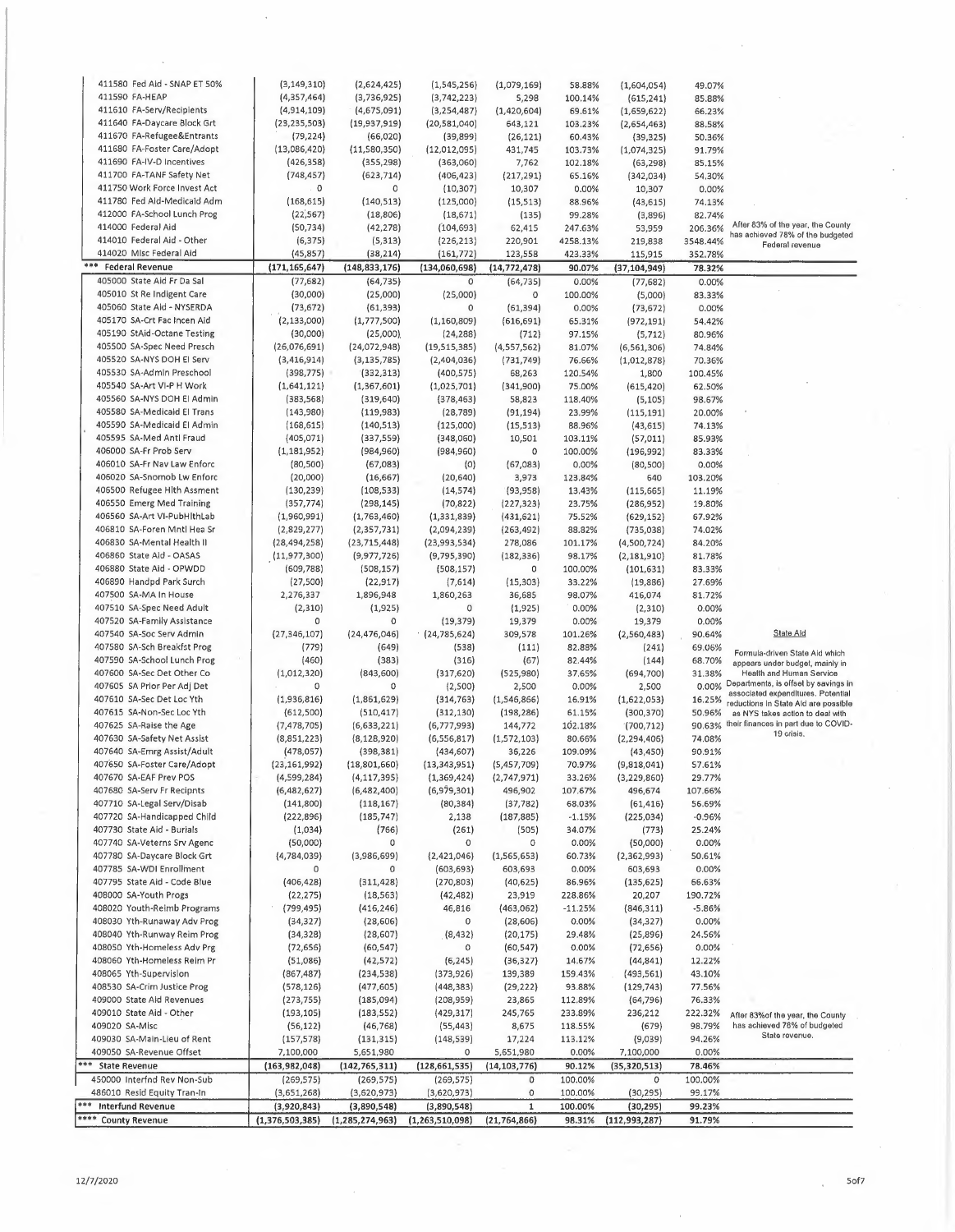| 411580 Fed Aid - SNAP ET 50%    | (3, 149, 310)   | (2,624,425)        | (1,545,256)        | (1,079,169)    | 58.88%    | (1,604,054)     | 49.07%   |                                                                        |
|---------------------------------|-----------------|--------------------|--------------------|----------------|-----------|-----------------|----------|------------------------------------------------------------------------|
| 411590 FA-HEAP                  | (4, 357, 464)   | (3,736,925)        | (3,742,223)        | 5,298          | 100.14%   | (615, 241)      | 85.88%   |                                                                        |
| 411610 FA-Serv/Recipients       | (4,914,109)     | (4,675,091)        | (3, 254, 487)      | (1,420,604)    | 69.61%    | (1,659,622)     | 66.23%   |                                                                        |
| 411640 FA-Daycare Block Grt     | (23, 235, 503)  | (19,937,919)       | (20,581,040)       | 643,121        | 103.23%   | (2,654,463)     | 88.58%   |                                                                        |
| 411670 FA-Refugee&Entrants      | (79, 224)       | (66, 020)          | (39, 899)          | (26, 121)      | 60.43%    | (39, 325)       | 50.36%   |                                                                        |
| 411680 FA-Foster Care/Adopt     | (13,086,420)    | (11,580,350)       | (12,012,095)       | 431,745        | 103.73%   | (1,074,325)     | 91.79%   |                                                                        |
| 411690 FA-IV-D Incentives       | (426, 358)      | (355, 298)         | (363,060)          | 7,762          |           |                 |          |                                                                        |
| 411700 FA-TANF Safety Net       | (748, 457)      |                    |                    |                | 102.18%   | (63, 298)       | 85.15%   |                                                                        |
|                                 |                 | (623, 714)         | (406, 423)         | (217, 291)     | 65.16%    | (342, 034)      | 54.30%   |                                                                        |
| 411750 Work Force Invest Act    | 0               | 0                  | (10, 307)          | 10,307         | 0.00%     | 10,307          | 0.00%    |                                                                        |
| 411780 Fed Aid-Medicaid Adm     | (168, 615)      | (140, 513)         | (125,000)          | (15, 513)      | 88.96%    | (43, 615)       | 74.13%   |                                                                        |
| 412000 FA-School Lunch Prog     | (22, 567)       | (18, 806)          | (18, 671)          | (135)          | 99.28%    | (3,896)         | 82.74%   |                                                                        |
| 414000 Federal Aid              | (50, 734)       | (42, 278)          | (104, 693)         | 62,415         | 247.63%   | 53,959          | 206.36%  | After 83% of the year, the County                                      |
| 414010 Federal Aid - Other      | (6, 375)        | (5, 313)           | (226, 213)         | 220,901        | 4258.13%  | 219,838         | 3548.44% | has achieved 78% of the budgeted<br>Federal revenue                    |
| 414020 Mlsc Federal Aid         | (45, 857)       | (38, 214)          | (161, 772)         | 123,558        | 423.33%   | 115,915         | 352,78%  |                                                                        |
| ***<br><b>Federal Revenue</b>   | (171, 165, 647) | (148, 833, 176)    | (134,060,698)      | (14, 772, 478) | 90.07%    | (37, 104, 949)  | 78.32%   |                                                                        |
| 405000 State Aid Fr Da Sal      | (77, 682)       | (64, 735)          | $\circ$            | (64, 735)      | 0.00%     | (77, 682)       | 0.00%    |                                                                        |
| 405010 St Re Indigent Care      | (30,000)        |                    | (25,000)           | 0              |           |                 |          |                                                                        |
|                                 |                 | (25,000)           |                    |                | 100.00%   | (5,000)         | 83.33%   |                                                                        |
| 405060 State Aid - NYSERDA      | (73, 672)       | (61, 393)          | $\circ$            | (61, 394)      | 0.00%     | (73, 672)       | 0.00%    |                                                                        |
| 405170 SA-Crt Fac Incen Aid     | (2, 133, 000)   | (1,777,500)        | (1, 160, 809)      | (616, 691)     | 65.31%    | (972, 191)      | 54.42%   |                                                                        |
| 405190 StAid-Octane Testing     | (30,000)        | (25,000)           | (24, 288)          | (712)          | 97.15%    | (5, 712)        | 80.96%   |                                                                        |
| 405500 SA-Spec Need Presch      | (26,076,691)    | (24,072,948)       | (19, 515, 385)     | (4, 557, 562)  | 81.07%    | (6, 561, 306)   | 74.84%   |                                                                        |
| 405520 SA-NYS DOH EI Serv       | (3, 416, 914)   | (3, 135, 785)      | (2,404,036)        | (731, 749)     | 76.66%    | (1,012,878)     | 70.36%   |                                                                        |
| 405530 SA-Admin Preschool       | (398, 775)      | (332, 313)         | (400, 575)         | 68,263         | 120.54%   | 1,800           | 100.45%  |                                                                        |
| 405540 SA-Art VI-P H Work       | (1,641,121)     | (1, 367, 601)      | (1,025,701)        | (341,900)      | 75.00%    | (615, 420)      | 62.50%   |                                                                        |
| 405560 SA-NYS DOH EI Admin      | (383, 568)      | (319, 640)         | (378, 463)         | 58,823         | 118.40%   | (5, 105)        | 98.67%   |                                                                        |
| 405580 SA-Medicald El Trans     | (143,980)       | (119,983)          | (28, 789)          | (91, 194)      | 23.99%    | (115, 191)      | 20.00%   |                                                                        |
| 405590 SA-Medicaid El Admin     |                 |                    |                    |                |           |                 |          |                                                                        |
|                                 | (168, 615)      | (140, 513)         | (125,000)          | (15, 513)      | 88.96%    | (43, 615)       | 74.13%   |                                                                        |
| 405595 SA-Med Antl Fraud        | (405, 071)      | (337, 559)         | (348,060)          | 10,501         | 103.11%   | (57, 011)       | 85.93%   |                                                                        |
| 406000 SA-Fr Prob Serv          | (1, 181, 952)   | (984, 960)         | (984,960)          | 0              | 100.00%   | (196, 992)      | 83.33%   |                                                                        |
| 406010 SA-Fr Nav Law Enforc     | (80, 500)       | (67,083)           | (0)                | (67,083)       | 0.00%     | (80, 500)       | 0.00%    |                                                                        |
| 406020 SA-Snomob Lw Enforc      | (20,000)        | (16, 667)          | (20, 640)          | 3,973          | 123.84%   | 640             | 103.20%  |                                                                        |
| 406500 Refugee Hith Assment     | (130, 239)      | (108, 533)         | (14, 574)          | (93,958)       | 13.43%    | (115, 665)      | 11.19%   |                                                                        |
| 406550 Emerg Med Training       | (357, 774)      | (298, 145)         | (70, 822)          | (227, 323)     | 23.75%    | (286, 952)      | 19.80%   |                                                                        |
| 406560 SA-Art VI-PubHlthLab     | (1,960,991)     | (1,763,460)        | (1, 331, 839)      | (431, 621)     | 75.52%    | (629, 152)      | 67.92%   |                                                                        |
| 406810 SA-Foren Mntl Hea Sr     | (2,829,277)     | (2, 357, 731)      | (2,094,239)        | (263, 492)     | 88.82%    | (735,038)       | 74.02%   |                                                                        |
| 406830 SA-Mental Health II      |                 |                    |                    |                |           |                 |          |                                                                        |
|                                 | (28, 494, 258)  | (23, 715, 448)     | (23,993,534)       | 278,086        | 101.17%   | (4,500,724)     | 84.20%   |                                                                        |
| 406860 State Aid - OASAS        | (11,977,300)    | (9,977,726)        | (9,795,390)        | (182, 336)     | 98.17%    | (2, 181, 910)   | 81.78%   |                                                                        |
| 406880 State Aid - OPWDD        | (609, 788)      | (508, 157)         | (508, 157)         | 0              | 100.00%   | (101, 631)      | 83.33%   |                                                                        |
| 406890 Handpd Park Surch        | (27,500)        | (22, 917)          | (7,614)            | (15, 303)      | 33.22%    | (19, 886)       | 27.69%   |                                                                        |
| 407500 SA-MA In House           | 2,276,337       | 1,896,948          | 1,860,263          | 36,685         | 98.07%    | 416,074         | 81.72%   |                                                                        |
| 407510 SA-Spec Need Adult       | (2, 310)        | (1, 925)           | 0                  | (1,925)        | 0.00%     | (2,310)         | 0.00%    |                                                                        |
| 407520 SA-Family Assistance     | 0               | 0                  | (19, 379)          | 19,379         | 0.00%     | 19,379          | 0.00%    |                                                                        |
| 407540 SA-Soc Serv Admin        | (27, 346, 107)  | (24, 476, 046)     | (24,785,624)       | 309,578        | 101.26%   | (2,560,483)     | 90.64%   | State Ald                                                              |
| 407580 SA-Sch Breakfst Prog     | (779)           |                    |                    |                | 82.88%    |                 |          |                                                                        |
|                                 |                 | (649)              | (538)              | (111)          |           | (241)           | 69.06%   | Formula-driven State Aid which                                         |
| 407590 SA-School Lunch Prog     | (460)           | (383)              | (316)              | (67)           | 82.44%    | (144)           | 68.70%   | appears under budget, mainly in                                        |
| 407600 SA-Sec Det Other Co      | (1,012,320)     | (843,600)          | (317, 620)         | (525,980)      | 37.65%    | (694,700)       | 31.38%   | Health and Human Service<br>0.00% Departments, is offset by savings in |
| 407605 SA Prior Per Adj Det     | 0               | 0                  | (2,500)            | 2,500          | 0.00%     | 2,500           |          | associated expenditures. Potential                                     |
| 407610 SA-Sec Det Loc Yth       | (1,936,816)     | (1,861,629)        | (314, 763)         | (1, 546, 866)  | 16.91%    | (1,622,053)     | 16.25%   | reductions In State Ald are possible                                   |
| 407615 SA-Non-Sec Loc Yth       | (612,500)       | (510, 417)         | (312, 130)         | (198, 286)     | 61.15%    | (300, 370)      | 50.96%   | as NYS takes action to deal with                                       |
| 407625 SA-Raise the Age         | (7, 478, 705)   | (6,633,221)        | (6,777,993)        | 144,772        | 102.18%   | (700, 712)      | 90.63%   | their finances in part due to COVID-                                   |
| 407630 SA-Safety Net Assist     | (8,851,223)     | (8, 128, 920)      | (6, 556, 817)      | (1,572,103)    | 80.66%    | (2, 294, 406)   | 74.08%   | 19 crisis.                                                             |
| 407640 SA-Emrg Assist/Adult     | (478, 057)      | (398, 381)         | (434, 607)         | 36,226         | 109.09%   | (43, 450)       | 90.91%   |                                                                        |
| 407650 SA-Foster Care/Adopt     | (23, 161, 992)  | (18,801,660)       | (13, 343, 951)     | (5,457,709)    | 70.97%    | (9,818,041)     | 57.61%   |                                                                        |
| 407670 SA-EAF Prev POS          | (4,599,284)     | (4, 117, 395)      | (1,369,424)        | (2,747,971)    | 33.26%    | (3, 229, 860)   | 29.77%   |                                                                        |
|                                 |                 |                    |                    |                |           |                 |          |                                                                        |
| 407680 SA-Serv Fr Recipnts      | (6,482,627)     | (6,482,400)        | (6,979,301)        | 496,902        | 107.67%   | 496,674         | 107.66%  |                                                                        |
| 407710 SA-Legal Serv/Disab      | (141,800)       | (118, 167)         | (80, 384)          | (37, 782)      | 68.03%    | (61, 416)       | 56.69%   |                                                                        |
| 407720 SA-Handicapped Child     | (222, 896)      | (185, 747)         | 2,138              | (187, 885)     | $-1.15%$  | (225, 034)      | $-0.96%$ |                                                                        |
| 407730 State Aid - Burials      | (1,034)         | (766)              | (261)              | (505)          | 34.07%    | (773)           | 25.24%   |                                                                        |
| 407740 SA-Veterns Srv Agenc     | (50,000)        | 0                  | 0                  | 0              | 0.00%     | (50,000)        | 0.00%    |                                                                        |
| 407780 SA-Daycare Block Grt     | (4,784,039)     | (3,986,699)        | (2,421,046)        | (1, 565, 653)  | 60.73%    | (2,362,993)     | 50.61%   |                                                                        |
| 407785 SA-WDI Enrollment        | 0               | 0                  | (603, 693)         | 603,693        | 0.00%     | 603,693         | 0.00%    |                                                                        |
| 407795 State Aid - Code Blue    | (406, 428)      | (311, 428)         | (270, 803)         | (40, 625)      | 86.96%    | (135, 625)      | 66.63%   |                                                                        |
| 408000 SA-Youth Progs           | (22, 275)       | (18, 563)          | (42, 482)          | 23,919         | 228.86%   | 20,207          | 190.72%  |                                                                        |
| 408020 Youth-Reimb Programs     | (799, 495)      | (416, 246)         | 46,816             | (463,062)      | $-11.25%$ | (846, 311)      | $-5.86%$ |                                                                        |
| 408030 Yth-Runaway Adv Prog     | (34, 327)       | (28, 606)          | 0                  | (28, 606)      | 0.00%     | (34, 327)       | 0.00%    |                                                                        |
|                                 |                 |                    |                    |                |           |                 |          |                                                                        |
| 408040 Yth-Runway Reim Prog     | (34, 328)       | (28, 607)          | (8, 432)           | (20, 175)      | 29.48%    | (25,896)        | 24.56%   |                                                                        |
| 408050 Yth-Homeless Adv Prg     | (72, 656)       | (60, 547)          | 0                  | (60, 547)      | 0.00%     | (72, 656)       | 0.00%    |                                                                        |
| 408060 Yth-Homeless Reim Pr     | (51,086)        | (42, 572)          | (6, 245)           | (36, 327)      | 14.67%    | (44, 841)       | 12.22%   |                                                                        |
| 408065 Yth-Supervision          | (867, 487)      | (234, 538)         | (373,926)          | 139,389        | 159.43%   | (493, 561)      | 43.10%   |                                                                        |
| 408530 SA-Crim Justice Prog     | (578, 126)      | (477, 605)         | (448, 383)         | (29, 222)      | 93.88%    | (129, 743)      | 77.56%   |                                                                        |
| 409000 State Aid Revenues       | (273, 755)      | (185,094)          | (208, 959)         | 23,865         | 112.89%   | (64, 796)       | 76.33%   |                                                                        |
| 409010 State Aid - Other        | (193, 105)      | (183, 552)         | (429, 317)         | 245,765        | 233.89%   | 236,212         | 222.32%  | After 83% of the year, the County                                      |
| 409020 SA-Misc                  | (56, 122)       | (46, 768)          | (55, 443)          | 8,675          | 118.55%   | (679)           | 98.79%   | has achieved 78% of budgeted                                           |
| 409030 SA-Main-Lieu of Rent     | (157, 578)      | (131, 315)         | (148, 539)         | 17,224         | 113.12%   | (9,039)         | 94.26%   | State revenue.                                                         |
| 409050 SA-Revenue Offset        | 7,100,000       |                    | 0                  | 5,651,980      | 0.00%     |                 | 0.00%    |                                                                        |
|                                 |                 | 5,651,980          |                    |                |           | 7,100,000       |          |                                                                        |
| *** State Revenue               | (163, 982, 048) | (142, 765, 311)    | (128, 661, 535)    | (14, 103, 776) | 90.12%    | (35, 320, 513)  | 78.46%   |                                                                        |
| 450000 Interfnd Rev Non-Sub     | (269, 575)      | (269, 575)         | (269, 575)         | 0              | 100.00%   | 0               | 100.00%  |                                                                        |
| 486010 Resid Equity Tran-In     | (3,651,268)     | (3,620,973)        | (3,620,973)        | 0              | 100.00%   | (30, 295)       | 99.17%   |                                                                        |
| ***<br><b>Interfund Revenue</b> | (3,920,843)     | (3,890,548)        | (3,890,548)        | $\mathbf 1$    | 100.00%   | (30, 295)       | 99.23%   |                                                                        |
| **** County Revenue             | (1,376,503,385) | (1, 285, 274, 963) | (1, 263, 510, 098) | (21, 764, 866) | 98.31%    | (112, 993, 287) | 91.79%   |                                                                        |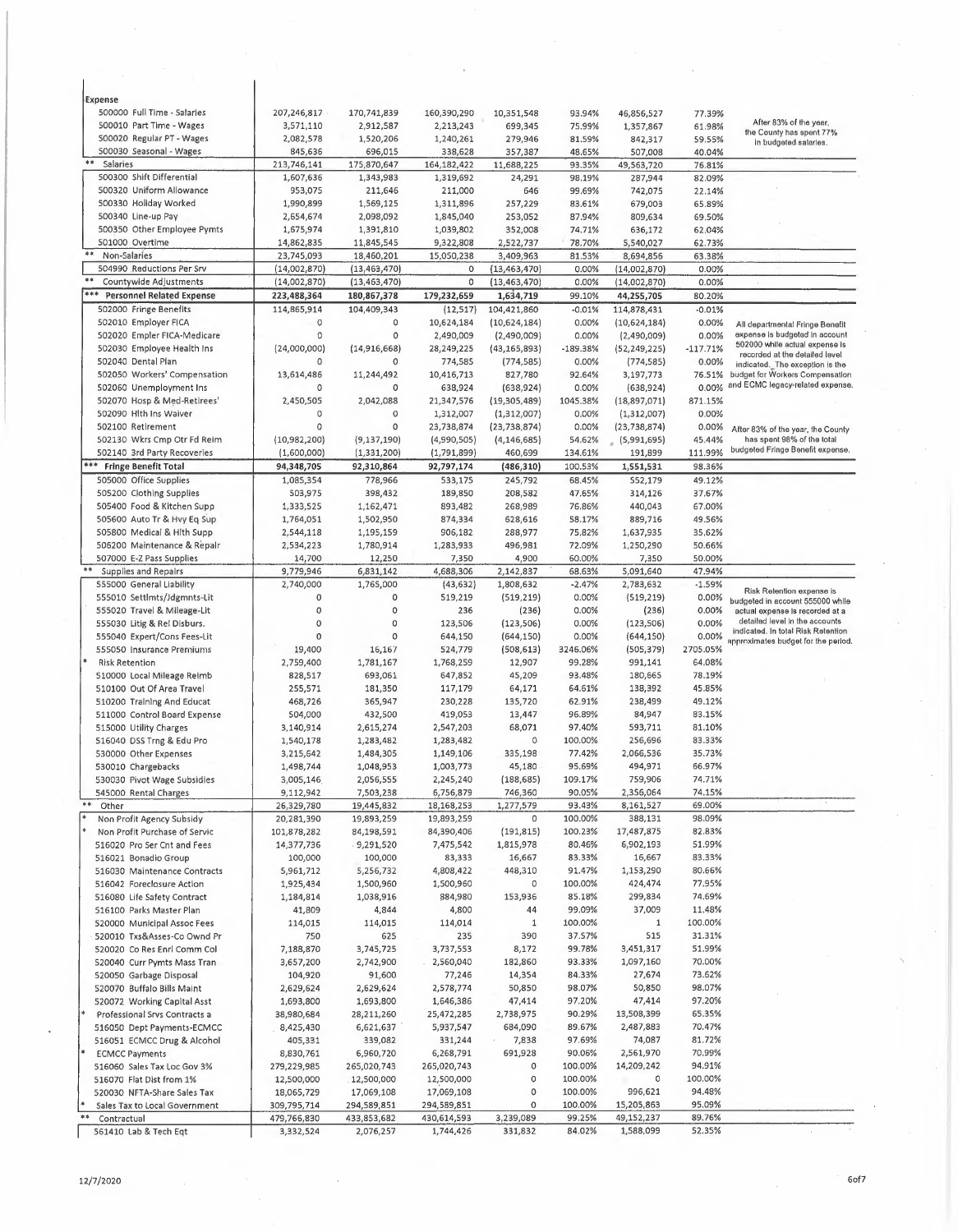| Expense                                              |                           |                        |                          |                       |                   |                       |                   |                                                                           |
|------------------------------------------------------|---------------------------|------------------------|--------------------------|-----------------------|-------------------|-----------------------|-------------------|---------------------------------------------------------------------------|
| 500000 Full Time - Salaries                          | 207,246,817               | 170,741,839            | 160,390,290              | 10,351,548            | 93.94%            | 46,856,527            | 77.39%            | After 83% of the year,                                                    |
| 500010 Part Time - Wages                             | 3,571,110                 | 2,912,587              | 2,213,243                | 699,345               | 75.99%            | 1,357,867             | 61.98%            | the County has spent 77%                                                  |
| 500020 Regular PT - Wages<br>500030 Seasonal - Wages | 2,082,578<br>845,636      | 1,520,206              | 1,240,261                | 279,946               | 81.59%            | 842,317               | 59.55%            | in budgeted salaries.                                                     |
| **<br>Salaries                                       | 213,746,141               | 696,015<br>175,870,647 | 338,628<br>164, 182, 422 | 357,387               | 48.65%<br>93.35%  | 507,008               | 40.04%            |                                                                           |
| 500300 Shift Differential                            | 1,607,636                 | 1,343,983              | 1,319,692                | 11,688,225<br>24,291  | 98.19%            | 49,563,720<br>287,944 | 76.81%<br>82.09%  |                                                                           |
| 500320 Uniform Allowance                             | 953,075                   | 211,646                | 211,000                  | 646                   | 99.69%            | 742,075               | 22.14%            |                                                                           |
| 500330 Holiday Worked                                | 1,990,899                 | 1,569,125              | 1,311,896                | 257,229               | 83.61%            | 679,003               | 65,89%            |                                                                           |
| 500340 Line-up Pay                                   | 2,654,674                 | 2,098,092              | 1,845,040                | 253,052               | 87.94%            | 809,634               | 69.50%            |                                                                           |
| 500350 Other Employee Pymts                          | 1,675,974                 | 1,391,810              | 1,039,802                | 352,008               | 74.71%            | 636,172               | 62.04%            |                                                                           |
| 501000 Overtime                                      | 14,862,835                | 11,845,545             | 9,322,808                | 2,522,737             | 78.70%            | 5,540,027             | 62.73%            |                                                                           |
| **<br>Non-Salaries                                   | 23,745,093                | 18,460,201             | 15,050,238               | 3,409,963             | 81.53%            | 8,694,856             | 63.38%            |                                                                           |
| 504990 Reductions Per Srv                            | (14,002,870)              | (13, 463, 470)         | 0                        | (13, 463, 470)        | 0.00%             | (14,002,870)          | 0.00%             |                                                                           |
| Countywide Adjustments                               | (14,002,870)              | (13, 463, 470)         | 0                        | (13, 463, 470)        | 0.00%             | (14,002,870)          | 0.00%             |                                                                           |
| ***<br><b>Personnel Related Expense</b>              | 223,488,364               | 180,867,378            | 179,232,659              | 1,634,719             | 99.10%            | 44,255,705            | 80.20%            |                                                                           |
| 502000 Fringe Benefits                               | 114,865,914               | 104,409,343            | (12, 517)                | 104,421,860           | $-0.01%$          | 114,878,431           | $-0.01%$          |                                                                           |
| 502010 Employer FICA                                 | 0                         | 0                      | 10,624,184               | (10,624,184)          | 0.00%             | (10,624,184)          | 0.00%             | All departmental Fringe Benefit                                           |
| 502020 Empler FICA-Medicare                          | 0                         | 0                      | 2,490,009                | (2,490,009)           | 0.00%             | (2,490,009)           | 0.00%             | expense is budgeted in account                                            |
| 502030 Employee Health Ins                           | (24,000,000)              | (14,916,668)           | 28,249,225               | (43, 165, 893)        | $-189.38%$        | (52, 249, 225)        | $-117.71%$        | 502000 while actual expense is<br>recorded at the detailed level          |
| 502040 Dental Plan                                   | 0                         | 0                      | 774,585                  | (774, 585)            | 0.00%             | (774, 585)            | 0.00%             | indicated. The exception is the                                           |
| 502050 Workers' Compensation                         | 13,614,486                | 11,244,492             | 10,416,713               | 827,780               | 92.64%            | 3,197,773             | 76.51%            | budget for Workers Compensation                                           |
| 502060 Unemployment Ins                              | 0                         | O                      | 638,924                  | (638, 924)            | 0.00%             | (638, 924)            | 0.00%             | and ECMC legacy-related expense.                                          |
| 502070 Hosp & Med-Retirees'                          | 2,450,505                 | 2,042,088              | 21,347,576               | (19,305,489)          | 1045.38%          | (18,897,071)          | 871.15%           |                                                                           |
| 502090 Hlth Ins Waiver                               | 0                         | 0                      | 1,312,007                | (1,312,007)           | 0.00%             | (1,312,007)           | 0.00%             |                                                                           |
| 502100 Retirement                                    | 0                         | 0                      | 23,738,874               | (23, 738, 874)        | 0.00%             | (23, 738, 874)        | 0.00%             | After 83% of the year, the County                                         |
| 502130 Wkrs Cmp Otr Fd Reim                          | (10,982,200)              | (9, 137, 190)          | (4,990,505)              | (4, 146, 685)         | 54.62%            | (5,991,695)           | 45.44%<br>111.99% | has spent 98% of the total<br>budgeted Fringe Benefit expense.            |
| 502140 3rd Party Recoveries                          | (1,600,000)<br>94,348,705 | (1, 331, 200)          | (1,791,899)              | 460,699               | 134.61%           | 191,899               |                   |                                                                           |
| *** Fringe Benefit Total<br>505000 Office Supplies   |                           | 92,310,864             | 92,797,174               | (486, 310)            | 100.53%           | 1,551,531             | 98.36%            |                                                                           |
| 505200 Clothing Supplies                             | 1,085,354<br>503,975      | 778,966<br>398,432     | 533,175<br>189,850       | 245,792<br>208,582    | 68.45%<br>47.65%  | 552,179               | 49.12%<br>37.67%  |                                                                           |
| 505400 Food & Kitchen Supp                           | 1,333,525                 | 1,162,471              | 893,482                  | 268,989               | 76.86%            | 314,126<br>440,043    | 67.00%            |                                                                           |
| 505600 Auto Tr & Hvy Eq Sup                          | 1,764,051                 | 1,502,950              | 874,334                  | 628,616               | 58.17%            | 889,716               | 49.56%            |                                                                           |
| 505800 Medical & Hith Supp                           | 2,544,118                 | 1,195,159              | 906,182                  | 288,977               | 75,82%            | 1,637,935             | 35,62%            |                                                                           |
| 506200 Maintenance & Repalr                          | 2,534,223                 | 1,780,914              | 1,283,933                | 496,981               | 72.09%            | 1,250,290             | 50.66%            |                                                                           |
| 507000 E-Z Pass Supplies                             | 14,700                    | 12,250                 | 7,350                    | 4,900                 | 60.00%            | 7,350                 | 50.00%            |                                                                           |
| $**$<br>Supplies and Repairs                         | 9,779,946                 | 6,831,142              | 4,688,306                | 2,142,837             | 68.63%            | 5,091,640             | 47.94%            |                                                                           |
| 555000 General Liability                             | 2,740,000                 | 1,765,000              | (43, 632)                | 1,808,632             | $-2.47%$          | 2,783,632             | $-1.59%$          |                                                                           |
| 555010 Settlmts/Jdgmnts-Lit                          | 0                         | 0                      | 519,219                  | (519, 219)            | 0.00%             | (519, 219)            | 0.00%             | Risk Retention expense is<br>budgeted in account 555000 while             |
| 555020 Travel & Mileage-Lit                          | 0                         | 0                      | 236                      | (236)                 | 0.00%             | (236)                 | 0.00%             | actual expense is recorded at a                                           |
| 555030 Litig & Rel Disburs.                          | 0                         | 0                      | 123,506                  | (123, 506)            | 0.00%             | (123, 506)            | 0.00%             | detailed level in the accounts                                            |
| 555040 Expert/Cons Fees-Lit                          | 0                         | 0                      | 644,150                  | (644, 150)            | 0.00%             | (644, 150)            | 0.00%             | indicated. In total Risk Retention<br>approximates budget for the period. |
| 555050 Insurance Premiums                            | 19,400                    | 16,167                 | 524,779                  | (508, 613)            | 3246.06%          | (505, 379)            | 2705.05%          |                                                                           |
| <b>Risk Retention</b>                                | 2,759,400                 | 1,781,167              | 1,768,259                | 12,907                | 99.28%            | 991,141               | 64.08%            |                                                                           |
| 510000 Local Mileage Reimb                           | 828,517                   | 693,061                | 647,852                  | 45,209                | 93.48%            | 180,665               | 78.19%            |                                                                           |
| 510100 Out Of Area Travel                            | 255,571                   | 181,350                | 117,179                  | 64,171                | 64.61%            | 138,392               | 45.85%            |                                                                           |
| 510200 Training And Educat                           | 468,726                   | 365,947                | 230,228                  | 135,720               | 62.91%            | 238,499               | 49.12%            |                                                                           |
| 511000 Control Board Expense                         | 504,000                   | 432,500                | 419,053                  | 13,447                | 96.89%            | 84,947                | 83.15%            |                                                                           |
| 515000 Utility Charges                               | 3,140,914                 | 2,615,274              | 2,547,203                | 68,071                | 97.40%            | 593,711               | 81.10%            |                                                                           |
| 516040 DSS Trng & Edu Pro                            | 1,540,178                 | 1,283,482              | 1,283,482                | 0                     | 100.00%           | 256,696               | 83.33%            |                                                                           |
| 530000 Other Expenses                                | 3,215,642                 | 1,484,305              | 1,149,106                | 335,198               | 77.42%            | 2,066,536             | 35.73%            |                                                                           |
| 530010 Chargebacks<br>530030 Pivot Wage Subsidies    | 1,498,744                 | 1,048,953              | 1,003,773                | 45,180                | 95.69%<br>109.17% | 494,971<br>759,906    | 66.97%<br>74.71%  |                                                                           |
| 545000 Rental Charges                                | 3,005,146<br>9,112,942    | 2,056,555<br>7,503,238 | 2,245,240<br>6,756,879   | (188, 685)<br>746,360 | 90.05%            | 2,356,064             | 74.15%            |                                                                           |
| $* *$<br>Other                                       | 26,329,780                | 19,445,832             | 18,168,253               | 1,277,579             | 93.43%            | 8,161,527             | 69.00%            |                                                                           |
| Non Profit Agency Subsidy                            | 20,281,390                | 19,893,259             | 19,893,259               | 0                     | 100.00%           | 388,131               | 98.09%            |                                                                           |
| Non Profit Purchase of Servic                        | 101,878,282               | 84,198,591             | 84,390,406               | (191, 815)            | 100.23%           | 17,487,875            | 82.83%            |                                                                           |
| 516020 Pro Ser Cnt and Fees                          | 14,377,736                | .9,291,520             | 7,475,542                | 1,815,978             | 80.46%            | 6,902,193             | 51.99%            |                                                                           |
| 516021 Bonadio Group                                 | 100,000                   | 100,000                | 83,333                   | 16,667                | 83.33%            | 16,667                | 83.33%            |                                                                           |
| 516030 Maintenance Contracts                         | 5,961,712                 | 5,256,732              | 4,808,422                | 448,310               | 91.47%            | 1,153,290             | 80.66%            |                                                                           |
| 516042 Foreclosure Action                            | 1,925,434                 | 1,500,960              | 1,500,960                | 0                     | 100.00%           | 424,474               | 77.95%            |                                                                           |
| 516080 Life Safety Contract                          | 1,184,814                 | 1,038,916              | 884,980                  | 153,936               | 85.18%            | 299,834               | 74.69%            |                                                                           |
| 516100 Parks Master Plan                             | 41,809                    | 4,844                  | 4,800                    | 44                    | 99.09%            | 37,009                | 11.48%            |                                                                           |
| 520000 Municipal Assoc Fees                          | 114,015                   | 114,015                | 114,014                  | 1                     | 100.00%           | $\mathbf{1}$          | 100.00%           |                                                                           |
| 520010 Txs&Asses-Co Ownd Pr                          | 750                       | 625                    | 235                      | 390                   | 37.57%            | 515                   | 31.31%            |                                                                           |
| 520020 Co Res Enrl Comm Col                          | 7,188,870                 | 3,745,725              | 3,737,553                | 8,172                 | 99.78%            | 3,451,317             | 51.99%            |                                                                           |
| 520040 Curr Pymts Mass Tran                          | 3,657,200                 | 2,742,900              | 2,560,040                | 182,860               | 93.33%            | 1,097,160             | 70.00%            |                                                                           |
| 520050 Garbage Disposal                              | 104,920                   | 91,600                 | 77,246                   | 14,354                | 84.33%            | 27,674                | 73.62%            |                                                                           |
| 520070 Buffalo Bills Maint                           | 2,629,624                 | 2,629,624              | 2,578,774                | 50,850                | 98.07%            | 50,850                | 98.07%            |                                                                           |
| 520072 Working Capital Asst                          | 1,693,800                 | 1,693,800              | 1,646,386                | 47,414                | 97.20%            | 47,414                | 97.20%            |                                                                           |
| Professional Srvs Contracts a                        | 38,980,684                | 28,211,260             | 25,472,285               | 2,738,975             | 90.29%            | 13,508,399            | 65.35%            |                                                                           |
| 516050 Dept Payments-ECMCC                           | 8,425,430                 | 6,621,637              | 5,937,547                | 684,090               | 89.67%            | 2,487,883             | 70.47%            |                                                                           |
| 516051 ECMCC Drug & Alcohol                          | 405,331                   | 339,082                | 331,244                  | 7,838                 | 97.69%            | 74,087                | 81.72%            |                                                                           |
| <b>ECMCC Payments</b>                                | 8,830,761                 | 6,960,720              | 6,268,791                | 691,928               | 90.06%            | 2,561,970             | 70.99%            |                                                                           |
| 516060 Sales Tax Loc Gov 3%                          | 279,229,985               | 265,020,743            | 265,020,743              | 0                     | 100.00%           | 14,209,242            | 94.91%            |                                                                           |
| 516070 Flat Dist from 1%                             | 12,500,000                | 12,500,000             | 12,500,000               | 0                     | 100.00%           | 0                     | 100.00%           |                                                                           |
| 520030 NFTA-Share Sales Tax                          | 18,065,729                | 17,069,108             | 17,069,108               | 0                     | 100.00%           | 996,621               | 94.48%            |                                                                           |
| Sales Tax to Local Government<br>**                  | 309,795,714               | 294,589,851            | 294,589,851              | 0                     | 100.00%           | 15,205,863            | 95.09%            |                                                                           |
| Contractual                                          | 479,766,830               | 433,853,682            | 430,614,593              | 3,239,089             | 99.25%            | 49,152,237            | 89.76%            |                                                                           |
| 561410 Lab & Tech Eqt                                | 3,332,524                 | 2,076,257              | 1,744,426                | 331,832               | 84.02%            | 1,588,099             | 52.35%            |                                                                           |